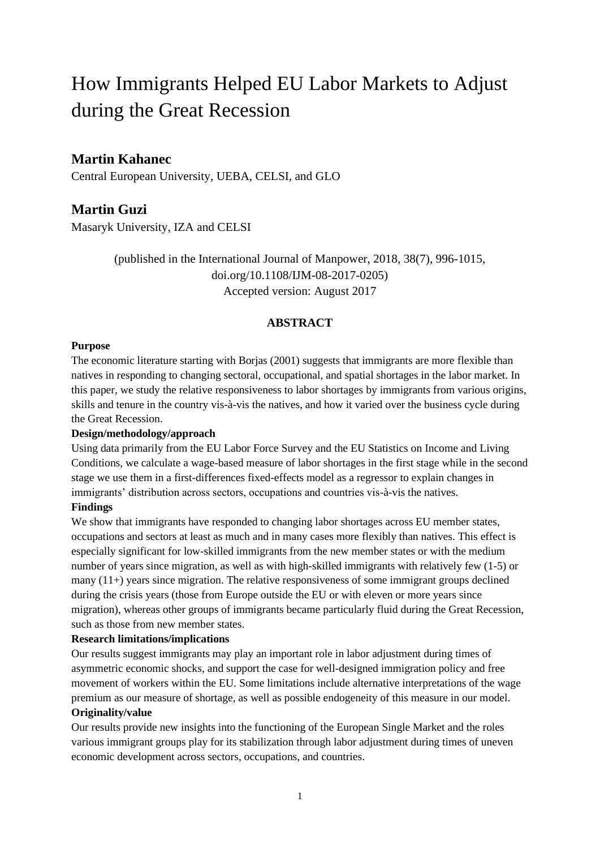# How Immigrants Helped EU Labor Markets to Adjust during the Great Recession

## **Martin Kahanec**

Central European University, UEBA, CELSI, and GLO

## **Martin Guzi**

Masaryk University, IZA and CELSI

(published in the International Journal of Manpower, 2018, 38(7), 996-1015, doi.org/10.1108/IJM-08-2017-0205) Accepted version: August 2017

#### **ABSTRACT**

#### **Purpose**

The economic literature starting with Borjas (2001) suggests that immigrants are more flexible than natives in responding to changing sectoral, occupational, and spatial shortages in the labor market. In this paper, we study the relative responsiveness to labor shortages by immigrants from various origins, skills and tenure in the country vis-à-vis the natives, and how it varied over the business cycle during the Great Recession.

#### **Design/methodology/approach**

Using data primarily from the EU Labor Force Survey and the EU Statistics on Income and Living Conditions, we calculate a wage-based measure of labor shortages in the first stage while in the second stage we use them in a first-differences fixed-effects model as a regressor to explain changes in immigrants' distribution across sectors, occupations and countries vis-à-vis the natives.

#### **Findings**

We show that immigrants have responded to changing labor shortages across EU member states, occupations and sectors at least as much and in many cases more flexibly than natives. This effect is especially significant for low-skilled immigrants from the new member states or with the medium number of years since migration, as well as with high-skilled immigrants with relatively few (1-5) or many  $(11+)$  years since migration. The relative responsiveness of some immigrant groups declined during the crisis years (those from Europe outside the EU or with eleven or more years since migration), whereas other groups of immigrants became particularly fluid during the Great Recession, such as those from new member states.

#### **Research limitations/implications**

Our results suggest immigrants may play an important role in labor adjustment during times of asymmetric economic shocks, and support the case for well-designed immigration policy and free movement of workers within the EU. Some limitations include alternative interpretations of the wage premium as our measure of shortage, as well as possible endogeneity of this measure in our model. **Originality/value**

Our results provide new insights into the functioning of the European Single Market and the roles various immigrant groups play for its stabilization through labor adjustment during times of uneven economic development across sectors, occupations, and countries.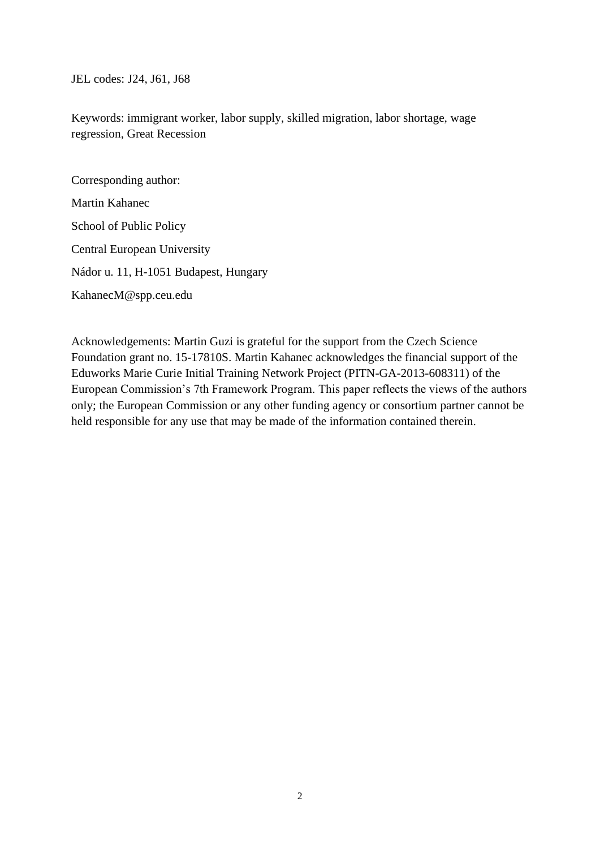JEL codes: J24, J61, J68

Keywords: immigrant worker, labor supply, skilled migration, labor shortage, wage regression, Great Recession

Corresponding author: Martin Kahanec School of Public Policy Central European University Nádor u. 11, H-1051 Budapest, Hungary KahanecM@spp.ceu.edu

Acknowledgements: Martin Guzi is grateful for the support from the Czech Science Foundation grant no. 15-17810S. Martin Kahanec acknowledges the financial support of the Eduworks Marie Curie Initial Training Network Project (PITN-GA-2013-608311) of the European Commission's 7th Framework Program. This paper reflects the views of the authors only; the European Commission or any other funding agency or consortium partner cannot be held responsible for any use that may be made of the information contained therein.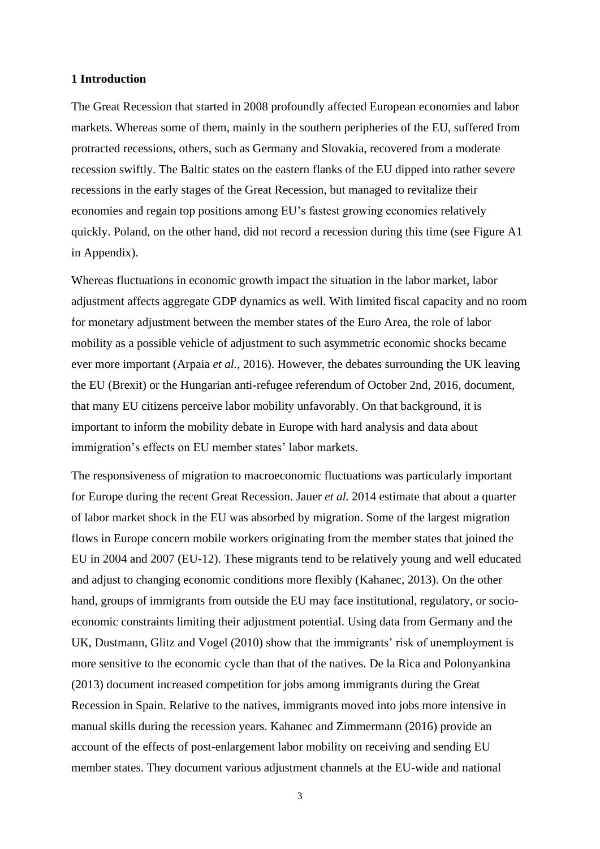#### **1 Introduction**

The Great Recession that started in 2008 profoundly affected European economies and labor markets. Whereas some of them, mainly in the southern peripheries of the EU, suffered from protracted recessions, others, such as Germany and Slovakia, recovered from a moderate recession swiftly. The Baltic states on the eastern flanks of the EU dipped into rather severe recessions in the early stages of the Great Recession, but managed to revitalize their economies and regain top positions among EU's fastest growing economies relatively quickly. Poland, on the other hand, did not record a recession during this time (see Figure A1 in Appendix).

Whereas fluctuations in economic growth impact the situation in the labor market, labor adjustment affects aggregate GDP dynamics as well. With limited fiscal capacity and no room for monetary adjustment between the member states of the Euro Area, the role of labor mobility as a possible vehicle of adjustment to such asymmetric economic shocks became ever more important (Arpaia *et al.*, 2016). However, the debates surrounding the UK leaving the EU (Brexit) or the Hungarian anti-refugee referendum of October 2nd, 2016, document, that many EU citizens perceive labor mobility unfavorably. On that background, it is important to inform the mobility debate in Europe with hard analysis and data about immigration's effects on EU member states' labor markets.

The responsiveness of migration to macroeconomic fluctuations was particularly important for Europe during the recent Great Recession. Jauer *et al.* 2014 estimate that about a quarter of labor market shock in the EU was absorbed by migration. Some of the largest migration flows in Europe concern mobile workers originating from the member states that joined the EU in 2004 and 2007 (EU-12). These migrants tend to be relatively young and well educated and adjust to changing economic conditions more flexibly (Kahanec, 2013). On the other hand, groups of immigrants from outside the EU may face institutional, regulatory, or socioeconomic constraints limiting their adjustment potential. Using data from Germany and the UK, Dustmann, Glitz and Vogel (2010) show that the immigrants' risk of unemployment is more sensitive to the economic cycle than that of the natives. De la Rica and Polonyankina (2013) document increased competition for jobs among immigrants during the Great Recession in Spain. Relative to the natives, immigrants moved into jobs more intensive in manual skills during the recession years. Kahanec and Zimmermann (2016) provide an account of the effects of post-enlargement labor mobility on receiving and sending EU member states. They document various adjustment channels at the EU-wide and national

3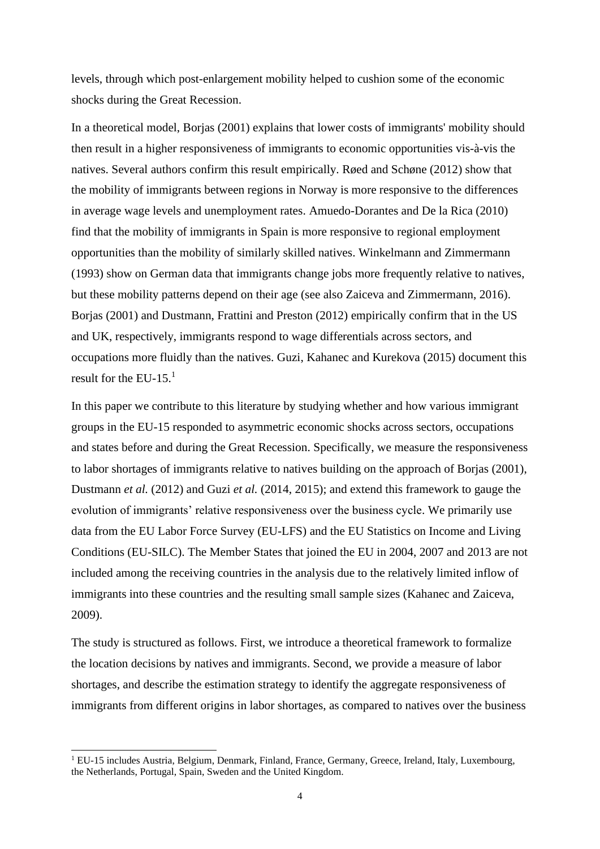levels, through which post-enlargement mobility helped to cushion some of the economic shocks during the Great Recession.

In a theoretical model, Borjas (2001) explains that lower costs of immigrants' mobility should then result in a higher responsiveness of immigrants to economic opportunities vis-à-vis the natives. Several authors confirm this result empirically. Røed and Schøne (2012) show that the mobility of immigrants between regions in Norway is more responsive to the differences in average wage levels and unemployment rates. Amuedo-Dorantes and De la Rica (2010) find that the mobility of immigrants in Spain is more responsive to regional employment opportunities than the mobility of similarly skilled natives. Winkelmann and Zimmermann (1993) show on German data that immigrants change jobs more frequently relative to natives, but these mobility patterns depend on their age (see also Zaiceva and Zimmermann, 2016). Borjas (2001) and Dustmann, Frattini and Preston (2012) empirically confirm that in the US and UK, respectively, immigrants respond to wage differentials across sectors, and occupations more fluidly than the natives. Guzi, Kahanec and Kurekova (2015) document this result for the EU-15.<sup>1</sup>

In this paper we contribute to this literature by studying whether and how various immigrant groups in the EU-15 responded to asymmetric economic shocks across sectors, occupations and states before and during the Great Recession. Specifically, we measure the responsiveness to labor shortages of immigrants relative to natives building on the approach of Borjas (2001), Dustmann *et al.* (2012) and Guzi *et al.* (2014, 2015); and extend this framework to gauge the evolution of immigrants' relative responsiveness over the business cycle. We primarily use data from the EU Labor Force Survey (EU-LFS) and the EU Statistics on Income and Living Conditions (EU-SILC). The Member States that joined the EU in 2004, 2007 and 2013 are not included among the receiving countries in the analysis due to the relatively limited inflow of immigrants into these countries and the resulting small sample sizes (Kahanec and Zaiceva, 2009).

The study is structured as follows. First, we introduce a theoretical framework to formalize the location decisions by natives and immigrants. Second, we provide a measure of labor shortages, and describe the estimation strategy to identify the aggregate responsiveness of immigrants from different origins in labor shortages, as compared to natives over the business

 $1$  EU-15 includes Austria, Belgium, Denmark, Finland, France, Germany, Greece, Ireland, Italy, Luxembourg, the Netherlands, Portugal, Spain, Sweden and the United Kingdom.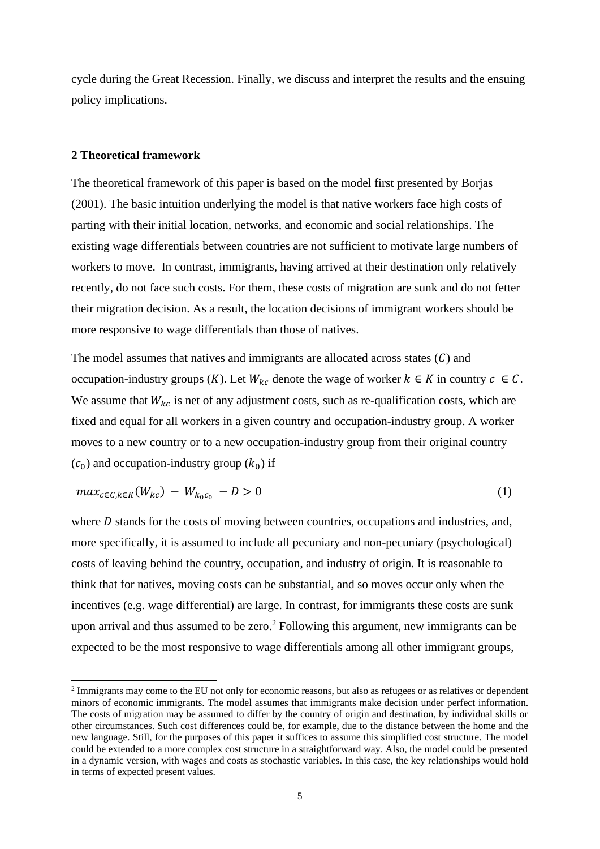cycle during the Great Recession. Finally, we discuss and interpret the results and the ensuing policy implications.

#### **2 Theoretical framework**

The theoretical framework of this paper is based on the model first presented by Borjas (2001). The basic intuition underlying the model is that native workers face high costs of parting with their initial location, networks, and economic and social relationships. The existing wage differentials between countries are not sufficient to motivate large numbers of workers to move. In contrast, immigrants, having arrived at their destination only relatively recently, do not face such costs. For them, these costs of migration are sunk and do not fetter their migration decision. As a result, the location decisions of immigrant workers should be more responsive to wage differentials than those of natives.

The model assumes that natives and immigrants are allocated across states  $(C)$  and occupation-industry groups (K). Let  $W_{kc}$  denote the wage of worker  $k \in K$  in country  $c \in C$ . We assume that  $W_{kc}$  is net of any adjustment costs, such as re-qualification costs, which are fixed and equal for all workers in a given country and occupation-industry group. A worker moves to a new country or to a new occupation-industry group from their original country  $(c_0)$  and occupation-industry group  $(k_0)$  if

$$
max_{c \in C, k \in K} (W_{kc}) - W_{k_0 c_0} - D > 0
$$
\n(1)

where  $D$  stands for the costs of moving between countries, occupations and industries, and, more specifically, it is assumed to include all pecuniary and non-pecuniary (psychological) costs of leaving behind the country, occupation, and industry of origin. It is reasonable to think that for natives, moving costs can be substantial, and so moves occur only when the incentives (e.g. wage differential) are large. In contrast, for immigrants these costs are sunk upon arrival and thus assumed to be zero.<sup>2</sup> Following this argument, new immigrants can be expected to be the most responsive to wage differentials among all other immigrant groups,

 $2$  Immigrants may come to the EU not only for economic reasons, but also as refugees or as relatives or dependent minors of economic immigrants. The model assumes that immigrants make decision under perfect information. The costs of migration may be assumed to differ by the country of origin and destination, by individual skills or other circumstances. Such cost differences could be, for example, due to the distance between the home and the new language. Still, for the purposes of this paper it suffices to assume this simplified cost structure. The model could be extended to a more complex cost structure in a straightforward way. Also, the model could be presented in a dynamic version, with wages and costs as stochastic variables. In this case, the key relationships would hold in terms of expected present values.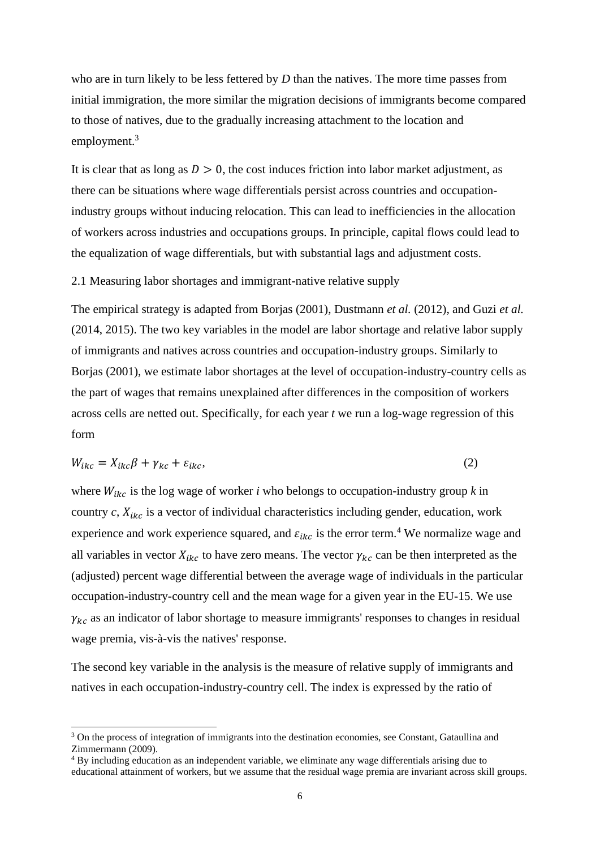who are in turn likely to be less fettered by *D* than the natives. The more time passes from initial immigration, the more similar the migration decisions of immigrants become compared to those of natives, due to the gradually increasing attachment to the location and employment.<sup>3</sup>

It is clear that as long as  $D > 0$ , the cost induces friction into labor market adjustment, as there can be situations where wage differentials persist across countries and occupationindustry groups without inducing relocation. This can lead to inefficiencies in the allocation of workers across industries and occupations groups. In principle, capital flows could lead to the equalization of wage differentials, but with substantial lags and adjustment costs.

#### 2.1 Measuring labor shortages and immigrant-native relative supply

The empirical strategy is adapted from Borjas (2001), Dustmann *et al.* (2012), and Guzi *et al.* (2014, 2015). The two key variables in the model are labor shortage and relative labor supply of immigrants and natives across countries and occupation-industry groups. Similarly to Borjas (2001), we estimate labor shortages at the level of occupation-industry-country cells as the part of wages that remains unexplained after differences in the composition of workers across cells are netted out. Specifically, for each year *t* we run a log-wage regression of this form

$$
W_{ikc} = X_{ikc}\beta + \gamma_{kc} + \varepsilon_{ikc},\tag{2}
$$

where  $W_{ikc}$  is the log wage of worker *i* who belongs to occupation-industry group *k* in country  $c$ ,  $X_{ikc}$  is a vector of individual characteristics including gender, education, work experience and work experience squared, and  $\varepsilon_{ikc}$  is the error term.<sup>4</sup> We normalize wage and all variables in vector  $X_{ikc}$  to have zero means. The vector  $\gamma_{kc}$  can be then interpreted as the (adjusted) percent wage differential between the average wage of individuals in the particular occupation-industry-country cell and the mean wage for a given year in the EU-15. We use  $\gamma_{kc}$  as an indicator of labor shortage to measure immigrants' responses to changes in residual wage premia, vis-à-vis the natives' response.

The second key variable in the analysis is the measure of relative supply of immigrants and natives in each occupation-industry-country cell. The index is expressed by the ratio of

<sup>&</sup>lt;sup>3</sup> On the process of integration of immigrants into the destination economies, see Constant, Gataullina and Zimmermann (2009).

<sup>&</sup>lt;sup>4</sup> By including education as an independent variable, we eliminate any wage differentials arising due to educational attainment of workers, but we assume that the residual wage premia are invariant across skill groups.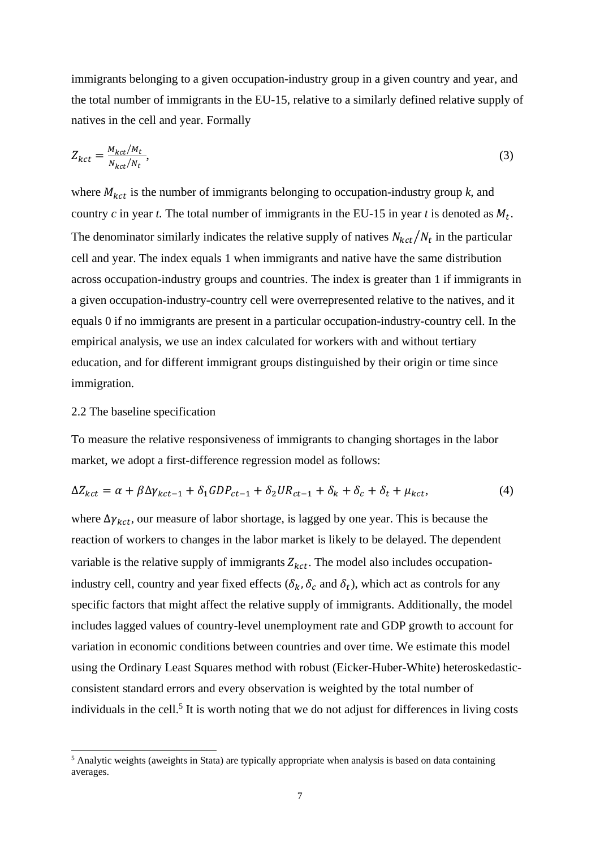immigrants belonging to a given occupation-industry group in a given country and year, and the total number of immigrants in the EU-15, relative to a similarly defined relative supply of natives in the cell and year. Formally

$$
Z_{kct} = \frac{M_{kct}/M_t}{N_{kct}/N_t},\tag{3}
$$

where  $M_{kct}$  is the number of immigrants belonging to occupation-industry group  $k$ , and country *c* in year *t*. The total number of immigrants in the EU-15 in year *t* is denoted as  $M_t$ . The denominator similarly indicates the relative supply of natives  $N_{kct}/N_t$  in the particular cell and year. The index equals 1 when immigrants and native have the same distribution across occupation-industry groups and countries. The index is greater than 1 if immigrants in a given occupation-industry-country cell were overrepresented relative to the natives, and it equals 0 if no immigrants are present in a particular occupation-industry-country cell. In the empirical analysis, we use an index calculated for workers with and without tertiary education, and for different immigrant groups distinguished by their origin or time since immigration.

#### 2.2 The baseline specification

To measure the relative responsiveness of immigrants to changing shortages in the labor market, we adopt a first-difference regression model as follows:

$$
\Delta Z_{kct} = \alpha + \beta \Delta \gamma_{kct-1} + \delta_1 GDP_{ct-1} + \delta_2 UR_{ct-1} + \delta_k + \delta_c + \delta_t + \mu_{kct},\tag{4}
$$

where  $\Delta \gamma_{kct}$ , our measure of labor shortage, is lagged by one year. This is because the reaction of workers to changes in the labor market is likely to be delayed. The dependent variable is the relative supply of immigrants  $Z_{kct}$ . The model also includes occupationindustry cell, country and year fixed effects  $(\delta_k, \delta_c$  and  $\delta_t)$ , which act as controls for any specific factors that might affect the relative supply of immigrants. Additionally, the model includes lagged values of country-level unemployment rate and GDP growth to account for variation in economic conditions between countries and over time. We estimate this model using the Ordinary Least Squares method with robust (Eicker-Huber-White) heteroskedasticconsistent standard errors and every observation is weighted by the total number of individuals in the cell.<sup>5</sup> It is worth noting that we do not adjust for differences in living costs

<sup>&</sup>lt;sup>5</sup> Analytic weights (aweights in Stata) are typically appropriate when analysis is based on data containing averages.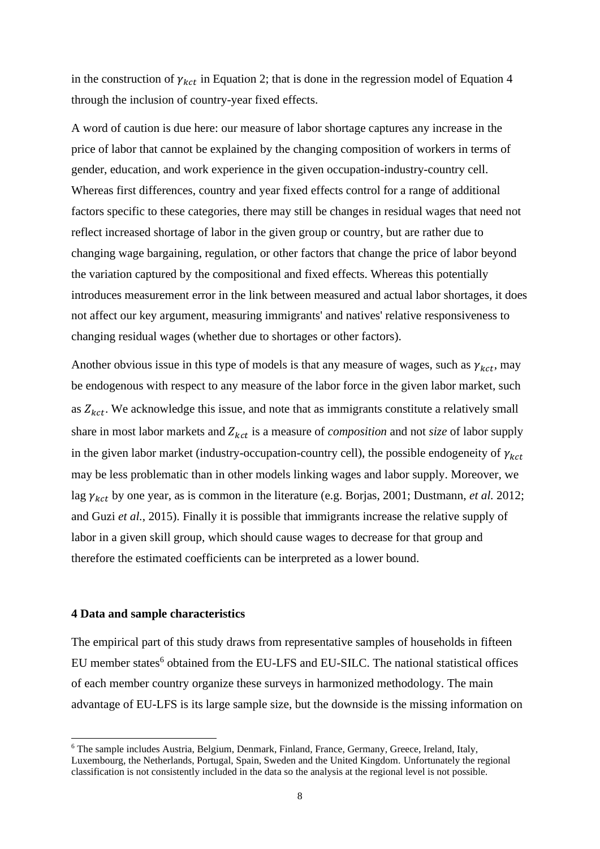in the construction of  $\gamma_{kct}$  in Equation 2; that is done in the regression model of Equation 4 through the inclusion of country-year fixed effects.

A word of caution is due here: our measure of labor shortage captures any increase in the price of labor that cannot be explained by the changing composition of workers in terms of gender, education, and work experience in the given occupation-industry-country cell. Whereas first differences, country and year fixed effects control for a range of additional factors specific to these categories, there may still be changes in residual wages that need not reflect increased shortage of labor in the given group or country, but are rather due to changing wage bargaining, regulation, or other factors that change the price of labor beyond the variation captured by the compositional and fixed effects. Whereas this potentially introduces measurement error in the link between measured and actual labor shortages, it does not affect our key argument, measuring immigrants' and natives' relative responsiveness to changing residual wages (whether due to shortages or other factors).

Another obvious issue in this type of models is that any measure of wages, such as  $\gamma_{kct}$ , may be endogenous with respect to any measure of the labor force in the given labor market, such as  $Z_{kct}$ . We acknowledge this issue, and note that as immigrants constitute a relatively small share in most labor markets and  $Z_{kct}$  is a measure of *composition* and not *size* of labor supply in the given labor market (industry-occupation-country cell), the possible endogeneity of  $\gamma_{kct}$ may be less problematic than in other models linking wages and labor supply. Moreover, we lag  $\gamma_{kct}$  by one year, as is common in the literature (e.g. Borjas, 2001; Dustmann, *et al.* 2012; and Guzi *et al.*, 2015). Finally it is possible that immigrants increase the relative supply of labor in a given skill group, which should cause wages to decrease for that group and therefore the estimated coefficients can be interpreted as a lower bound.

#### **4 Data and sample characteristics**

The empirical part of this study draws from representative samples of households in fifteen EU member states<sup>6</sup> obtained from the EU-LFS and EU-SILC. The national statistical offices of each member country organize these surveys in harmonized methodology. The main advantage of EU-LFS is its large sample size, but the downside is the missing information on

<sup>6</sup> The sample includes Austria, Belgium, Denmark, Finland, France, Germany, Greece, Ireland, Italy, Luxembourg, the Netherlands, Portugal, Spain, Sweden and the United Kingdom. Unfortunately the regional classification is not consistently included in the data so the analysis at the regional level is not possible.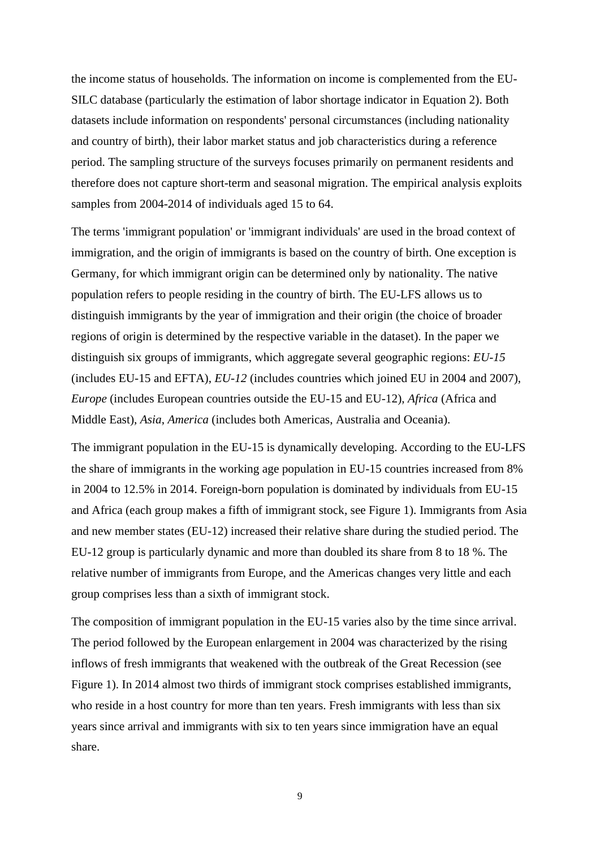the income status of households. The information on income is complemented from the EU-SILC database (particularly the estimation of labor shortage indicator in Equation 2). Both datasets include information on respondents' personal circumstances (including nationality and country of birth), their labor market status and job characteristics during a reference period. The sampling structure of the surveys focuses primarily on permanent residents and therefore does not capture short-term and seasonal migration. The empirical analysis exploits samples from 2004-2014 of individuals aged 15 to 64.

The terms 'immigrant population' or 'immigrant individuals' are used in the broad context of immigration, and the origin of immigrants is based on the country of birth. One exception is Germany, for which immigrant origin can be determined only by nationality. The native population refers to people residing in the country of birth. The EU-LFS allows us to distinguish immigrants by the year of immigration and their origin (the choice of broader regions of origin is determined by the respective variable in the dataset). In the paper we distinguish six groups of immigrants, which aggregate several geographic regions: *EU-15* (includes EU-15 and EFTA), *EU-12* (includes countries which joined EU in 2004 and 2007), *Europe* (includes European countries outside the EU-15 and EU-12), *Africa* (Africa and Middle East), *Asia*, *America* (includes both Americas, Australia and Oceania).

The immigrant population in the EU-15 is dynamically developing. According to the EU-LFS the share of immigrants in the working age population in EU-15 countries increased from 8% in 2004 to 12.5% in 2014. Foreign-born population is dominated by individuals from EU-15 and Africa (each group makes a fifth of immigrant stock, see Figure 1). Immigrants from Asia and new member states (EU-12) increased their relative share during the studied period. The EU-12 group is particularly dynamic and more than doubled its share from 8 to 18 %. The relative number of immigrants from Europe, and the Americas changes very little and each group comprises less than a sixth of immigrant stock.

The composition of immigrant population in the EU-15 varies also by the time since arrival. The period followed by the European enlargement in 2004 was characterized by the rising inflows of fresh immigrants that weakened with the outbreak of the Great Recession (see Figure 1). In 2014 almost two thirds of immigrant stock comprises established immigrants, who reside in a host country for more than ten years. Fresh immigrants with less than six years since arrival and immigrants with six to ten years since immigration have an equal share.

9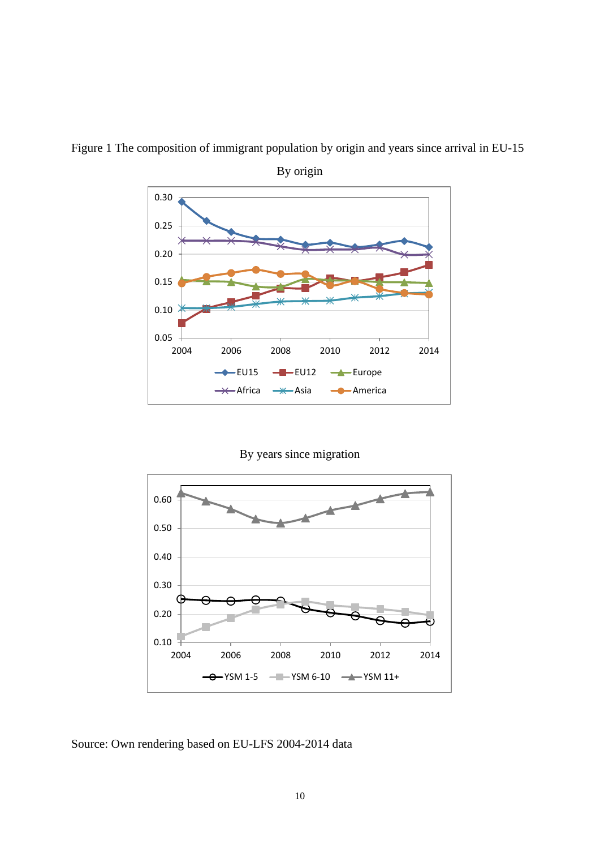

Figure 1 The composition of immigrant population by origin and years since arrival in EU-15

By origin

By years since migration



Source: Own rendering based on EU-LFS 2004-2014 data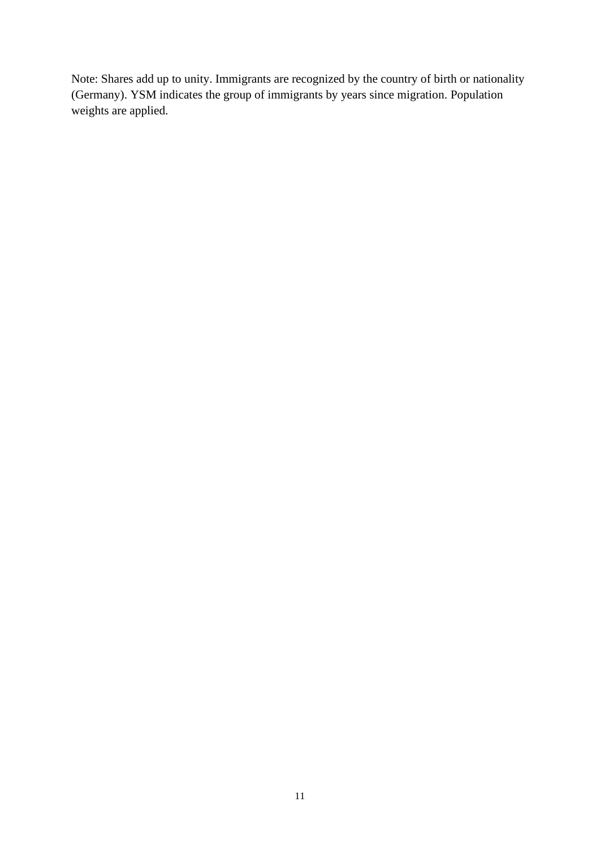Note: Shares add up to unity. Immigrants are recognized by the country of birth or nationality (Germany). YSM indicates the group of immigrants by years since migration. Population weights are applied.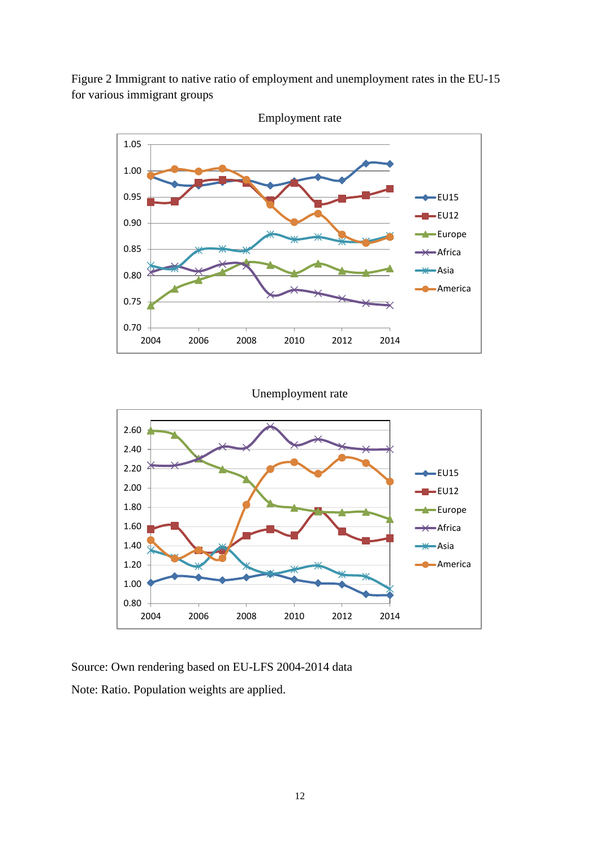Figure 2 Immigrant to native ratio of employment and unemployment rates in the EU-15 for various immigrant groups



Unemployment rate



Source: Own rendering based on EU-LFS 2004-2014 data Note: Ratio. Population weights are applied.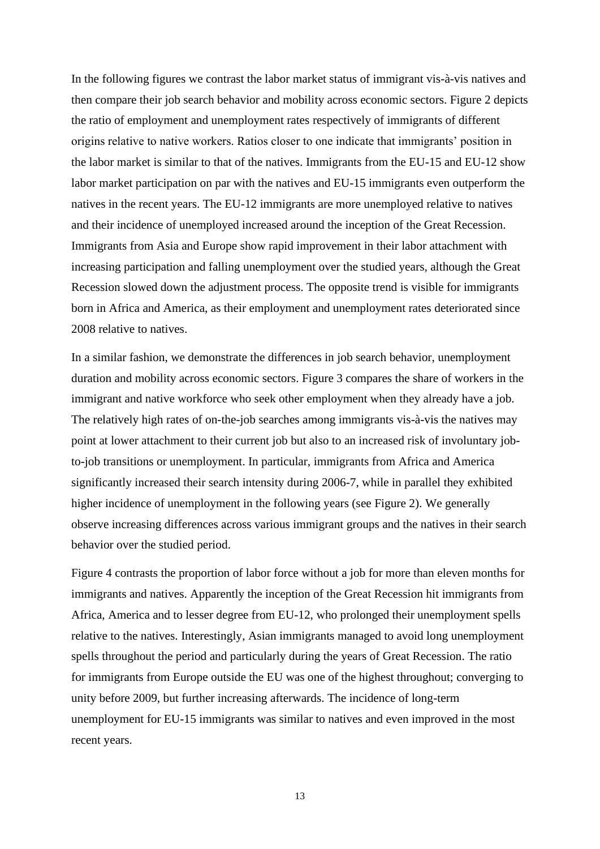In the following figures we contrast the labor market status of immigrant vis-à-vis natives and then compare their job search behavior and mobility across economic sectors. Figure 2 depicts the ratio of employment and unemployment rates respectively of immigrants of different origins relative to native workers. Ratios closer to one indicate that immigrants' position in the labor market is similar to that of the natives. Immigrants from the EU-15 and EU-12 show labor market participation on par with the natives and EU-15 immigrants even outperform the natives in the recent years. The EU-12 immigrants are more unemployed relative to natives and their incidence of unemployed increased around the inception of the Great Recession. Immigrants from Asia and Europe show rapid improvement in their labor attachment with increasing participation and falling unemployment over the studied years, although the Great Recession slowed down the adjustment process. The opposite trend is visible for immigrants born in Africa and America, as their employment and unemployment rates deteriorated since 2008 relative to natives.

In a similar fashion, we demonstrate the differences in job search behavior, unemployment duration and mobility across economic sectors. Figure 3 compares the share of workers in the immigrant and native workforce who seek other employment when they already have a job. The relatively high rates of on-the-job searches among immigrants vis-à-vis the natives may point at lower attachment to their current job but also to an increased risk of involuntary jobto-job transitions or unemployment. In particular, immigrants from Africa and America significantly increased their search intensity during 2006-7, while in parallel they exhibited higher incidence of unemployment in the following years (see Figure 2). We generally observe increasing differences across various immigrant groups and the natives in their search behavior over the studied period.

Figure 4 contrasts the proportion of labor force without a job for more than eleven months for immigrants and natives. Apparently the inception of the Great Recession hit immigrants from Africa, America and to lesser degree from EU-12, who prolonged their unemployment spells relative to the natives. Interestingly, Asian immigrants managed to avoid long unemployment spells throughout the period and particularly during the years of Great Recession. The ratio for immigrants from Europe outside the EU was one of the highest throughout; converging to unity before 2009, but further increasing afterwards. The incidence of long-term unemployment for EU-15 immigrants was similar to natives and even improved in the most recent years.

13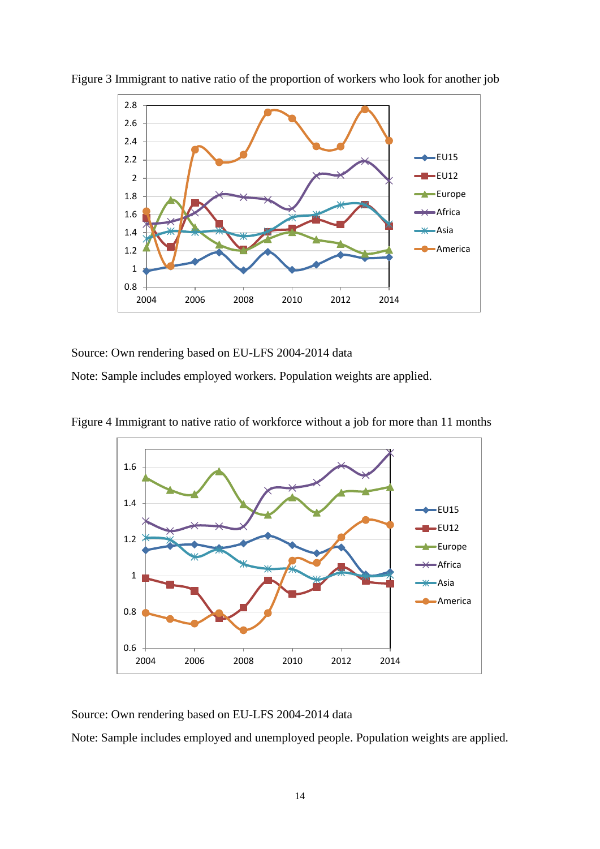

Figure 3 Immigrant to native ratio of the proportion of workers who look for another job

Source: Own rendering based on EU-LFS 2004-2014 data

Note: Sample includes employed workers. Population weights are applied.





Source: Own rendering based on EU-LFS 2004-2014 data

Note: Sample includes employed and unemployed people. Population weights are applied.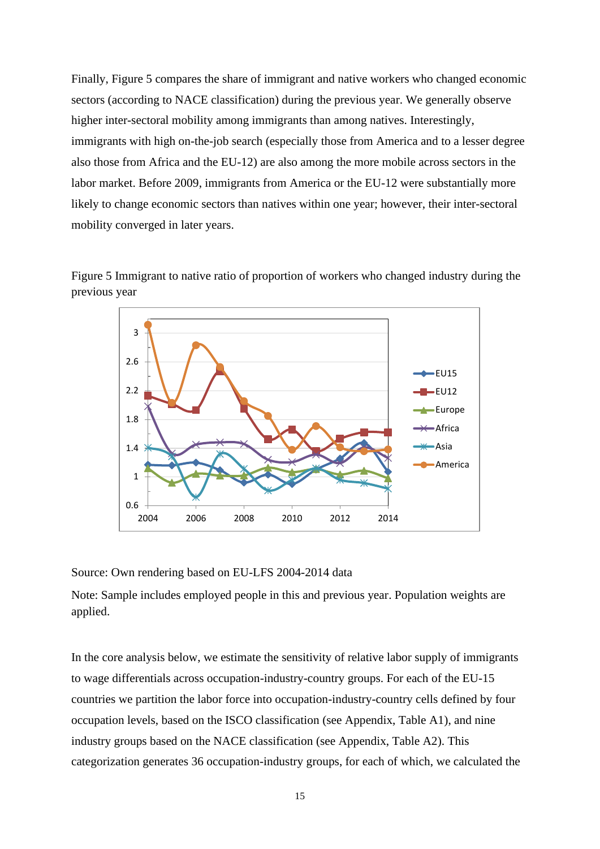Finally, Figure 5 compares the share of immigrant and native workers who changed economic sectors (according to NACE classification) during the previous year. We generally observe higher inter-sectoral mobility among immigrants than among natives. Interestingly, immigrants with high on-the-job search (especially those from America and to a lesser degree also those from Africa and the EU-12) are also among the more mobile across sectors in the labor market. Before 2009, immigrants from America or the EU-12 were substantially more likely to change economic sectors than natives within one year; however, their inter-sectoral mobility converged in later years.





Source: Own rendering based on EU-LFS 2004-2014 data

Note: Sample includes employed people in this and previous year. Population weights are applied.

In the core analysis below, we estimate the sensitivity of relative labor supply of immigrants to wage differentials across occupation-industry-country groups. For each of the EU-15 countries we partition the labor force into occupation-industry-country cells defined by four occupation levels, based on the ISCO classification (see Appendix, Table A1), and nine industry groups based on the NACE classification (see Appendix, Table A2). This categorization generates 36 occupation-industry groups, for each of which, we calculated the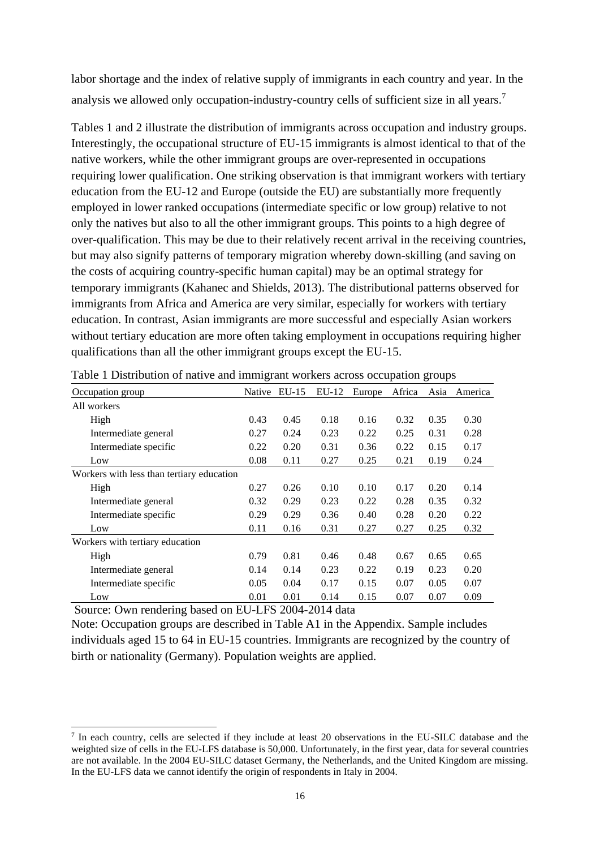labor shortage and the index of relative supply of immigrants in each country and year. In the analysis we allowed only occupation-industry-country cells of sufficient size in all years.<sup>7</sup>

Tables 1 and 2 illustrate the distribution of immigrants across occupation and industry groups. Interestingly, the occupational structure of EU-15 immigrants is almost identical to that of the native workers, while the other immigrant groups are over-represented in occupations requiring lower qualification. One striking observation is that immigrant workers with tertiary education from the EU-12 and Europe (outside the EU) are substantially more frequently employed in lower ranked occupations (intermediate specific or low group) relative to not only the natives but also to all the other immigrant groups. This points to a high degree of over-qualification. This may be due to their relatively recent arrival in the receiving countries, but may also signify patterns of temporary migration whereby down-skilling (and saving on the costs of acquiring country-specific human capital) may be an optimal strategy for temporary immigrants (Kahanec and Shields, 2013). The distributional patterns observed for immigrants from Africa and America are very similar, especially for workers with tertiary education. In contrast, Asian immigrants are more successful and especially Asian workers without tertiary education are more often taking employment in occupations requiring higher qualifications than all the other immigrant groups except the EU-15.

| Occupation group                          | Native | $EU-15$ | $EU-12$ | Europe | Africa | Asia | America |
|-------------------------------------------|--------|---------|---------|--------|--------|------|---------|
| All workers                               |        |         |         |        |        |      |         |
| High                                      | 0.43   | 0.45    | 0.18    | 0.16   | 0.32   | 0.35 | 0.30    |
| Intermediate general                      | 0.27   | 0.24    | 0.23    | 0.22   | 0.25   | 0.31 | 0.28    |
| Intermediate specific                     | 0.22   | 0.20    | 0.31    | 0.36   | 0.22   | 0.15 | 0.17    |
| Low                                       | 0.08   | 0.11    | 0.27    | 0.25   | 0.21   | 0.19 | 0.24    |
| Workers with less than tertiary education |        |         |         |        |        |      |         |
| High                                      | 0.27   | 0.26    | 0.10    | 0.10   | 0.17   | 0.20 | 0.14    |
| Intermediate general                      | 0.32   | 0.29    | 0.23    | 0.22   | 0.28   | 0.35 | 0.32    |
| Intermediate specific                     | 0.29   | 0.29    | 0.36    | 0.40   | 0.28   | 0.20 | 0.22    |
| Low                                       | 0.11   | 0.16    | 0.31    | 0.27   | 0.27   | 0.25 | 0.32    |
| Workers with tertiary education           |        |         |         |        |        |      |         |
| High                                      | 0.79   | 0.81    | 0.46    | 0.48   | 0.67   | 0.65 | 0.65    |
| Intermediate general                      | 0.14   | 0.14    | 0.23    | 0.22   | 0.19   | 0.23 | 0.20    |
| Intermediate specific                     | 0.05   | 0.04    | 0.17    | 0.15   | 0.07   | 0.05 | 0.07    |
| Low                                       | 0.01   | 0.01    | 0.14    | 0.15   | 0.07   | 0.07 | 0.09    |

Table 1 Distribution of native and immigrant workers across occupation groups

Source: Own rendering based on EU-LFS 2004-2014 data

Note: Occupation groups are described in Table A1 in the Appendix. Sample includes individuals aged 15 to 64 in EU-15 countries. Immigrants are recognized by the country of birth or nationality (Germany). Population weights are applied.

<sup>7</sup> In each country, cells are selected if they include at least 20 observations in the EU-SILC database and the weighted size of cells in the EU-LFS database is 50,000. Unfortunately, in the first year, data for several countries are not available. In the 2004 EU-SILC dataset Germany, the Netherlands, and the United Kingdom are missing. In the EU-LFS data we cannot identify the origin of respondents in Italy in 2004.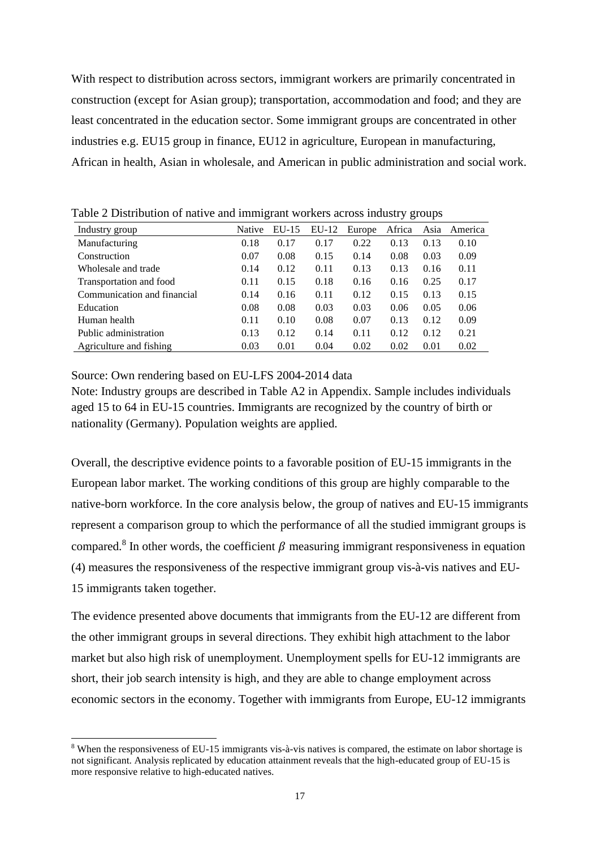With respect to distribution across sectors, immigrant workers are primarily concentrated in construction (except for Asian group); transportation, accommodation and food; and they are least concentrated in the education sector. Some immigrant groups are concentrated in other industries e.g. EU15 group in finance, EU12 in agriculture, European in manufacturing, African in health, Asian in wholesale, and American in public administration and social work.

| Industry group              | <b>Native</b> | $EU-15$ | $EU-12$ | Europe | Africa | Asia | America |
|-----------------------------|---------------|---------|---------|--------|--------|------|---------|
| Manufacturing               | 0.18          | 0.17    | 0.17    | 0.22   | 0.13   | 0.13 | 0.10    |
| Construction                | 0.07          | 0.08    | 0.15    | 0.14   | 0.08   | 0.03 | 0.09    |
| Wholesale and trade         | 0.14          | 0.12    | 0.11    | 0.13   | 0.13   | 0.16 | 0.11    |
| Transportation and food     | 0.11          | 0.15    | 0.18    | 0.16   | 0.16   | 0.25 | 0.17    |
| Communication and financial | 0.14          | 0.16    | 0.11    | 0.12   | 0.15   | 0.13 | 0.15    |
| Education                   | 0.08          | 0.08    | 0.03    | 0.03   | 0.06   | 0.05 | 0.06    |
| Human health                | 0.11          | 0.10    | 0.08    | 0.07   | 0.13   | 0.12 | 0.09    |
| Public administration       | 0.13          | 0.12    | 0.14    | 0.11   | 0.12   | 0.12 | 0.21    |
| Agriculture and fishing     | 0.03          | 0.01    | 0.04    | 0.02   | 0.02   | 0.01 | 0.02    |

Table 2 Distribution of native and immigrant workers across industry groups

Source: Own rendering based on EU-LFS 2004-2014 data

Note: Industry groups are described in Table A2 in Appendix. Sample includes individuals aged 15 to 64 in EU-15 countries. Immigrants are recognized by the country of birth or nationality (Germany). Population weights are applied.

Overall, the descriptive evidence points to a favorable position of EU-15 immigrants in the European labor market. The working conditions of this group are highly comparable to the native-born workforce. In the core analysis below, the group of natives and EU-15 immigrants represent a comparison group to which the performance of all the studied immigrant groups is compared.<sup>8</sup> In other words, the coefficient  $\beta$  measuring immigrant responsiveness in equation (4) measures the responsiveness of the respective immigrant group vis-à-vis natives and EU-15 immigrants taken together.

The evidence presented above documents that immigrants from the EU-12 are different from the other immigrant groups in several directions. They exhibit high attachment to the labor market but also high risk of unemployment. Unemployment spells for EU-12 immigrants are short, their job search intensity is high, and they are able to change employment across economic sectors in the economy. Together with immigrants from Europe, EU-12 immigrants

<sup>8</sup> When the responsiveness of EU-15 immigrants vis-à-vis natives is compared, the estimate on labor shortage is not significant. Analysis replicated by education attainment reveals that the high-educated group of EU-15 is more responsive relative to high-educated natives.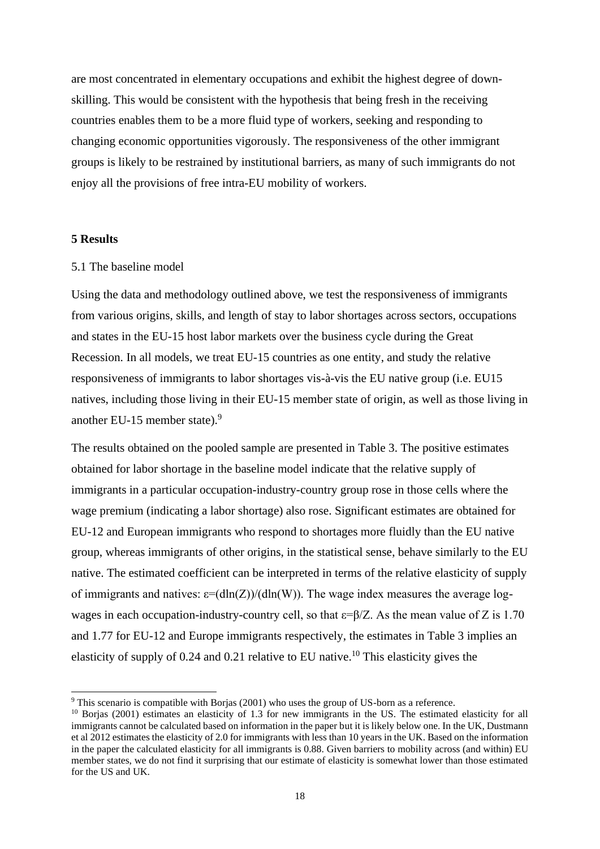are most concentrated in elementary occupations and exhibit the highest degree of downskilling. This would be consistent with the hypothesis that being fresh in the receiving countries enables them to be a more fluid type of workers, seeking and responding to changing economic opportunities vigorously. The responsiveness of the other immigrant groups is likely to be restrained by institutional barriers, as many of such immigrants do not enjoy all the provisions of free intra-EU mobility of workers.

#### **5 Results**

#### 5.1 The baseline model

Using the data and methodology outlined above, we test the responsiveness of immigrants from various origins, skills, and length of stay to labor shortages across sectors, occupations and states in the EU-15 host labor markets over the business cycle during the Great Recession. In all models, we treat EU-15 countries as one entity, and study the relative responsiveness of immigrants to labor shortages vis-à-vis the EU native group (i.e. EU15 natives, including those living in their EU-15 member state of origin, as well as those living in another EU-15 member state).<sup>9</sup>

The results obtained on the pooled sample are presented in Table 3. The positive estimates obtained for labor shortage in the baseline model indicate that the relative supply of immigrants in a particular occupation-industry-country group rose in those cells where the wage premium (indicating a labor shortage) also rose. Significant estimates are obtained for EU-12 and European immigrants who respond to shortages more fluidly than the EU native group, whereas immigrants of other origins, in the statistical sense, behave similarly to the EU native. The estimated coefficient can be interpreted in terms of the relative elasticity of supply of immigrants and natives:  $\varepsilon = (d \ln(Z))/(d \ln(W))$ . The wage index measures the average logwages in each occupation-industry-country cell, so that  $\varepsilon = \frac{\beta}{Z}$ . As the mean value of Z is 1.70 and 1.77 for EU-12 and Europe immigrants respectively, the estimates in Table 3 implies an elasticity of supply of 0.24 and 0.21 relative to EU native.<sup>10</sup> This elasticity gives the

<sup>9</sup> This scenario is compatible with Borjas (2001) who uses the group of US-born as a reference.

<sup>&</sup>lt;sup>10</sup> Borjas (2001) estimates an elasticity of 1.3 for new immigrants in the US. The estimated elasticity for all immigrants cannot be calculated based on information in the paper but it is likely below one. In the UK, Dustmann et al 2012 estimates the elasticity of 2.0 for immigrants with less than 10 years in the UK. Based on the information in the paper the calculated elasticity for all immigrants is 0.88. Given barriers to mobility across (and within) EU member states, we do not find it surprising that our estimate of elasticity is somewhat lower than those estimated for the US and UK.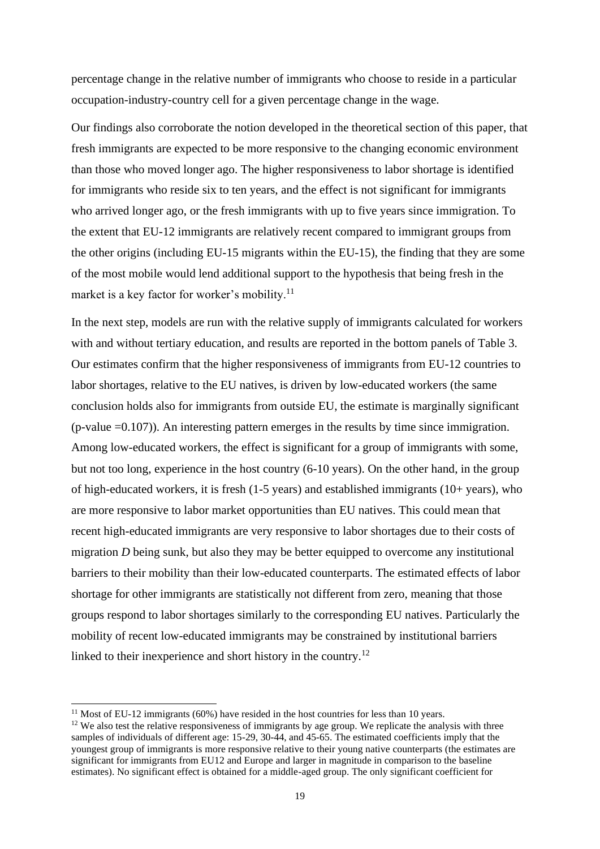percentage change in the relative number of immigrants who choose to reside in a particular occupation-industry-country cell for a given percentage change in the wage.

Our findings also corroborate the notion developed in the theoretical section of this paper, that fresh immigrants are expected to be more responsive to the changing economic environment than those who moved longer ago. The higher responsiveness to labor shortage is identified for immigrants who reside six to ten years, and the effect is not significant for immigrants who arrived longer ago, or the fresh immigrants with up to five years since immigration. To the extent that EU-12 immigrants are relatively recent compared to immigrant groups from the other origins (including EU-15 migrants within the EU-15), the finding that they are some of the most mobile would lend additional support to the hypothesis that being fresh in the market is a key factor for worker's mobility.<sup>11</sup>

In the next step, models are run with the relative supply of immigrants calculated for workers with and without tertiary education, and results are reported in the bottom panels of Table 3. Our estimates confirm that the higher responsiveness of immigrants from EU-12 countries to labor shortages, relative to the EU natives, is driven by low-educated workers (the same conclusion holds also for immigrants from outside EU, the estimate is marginally significant  $(p-value = 0.107)$ ). An interesting pattern emerges in the results by time since immigration. Among low-educated workers, the effect is significant for a group of immigrants with some, but not too long, experience in the host country (6-10 years). On the other hand, in the group of high-educated workers, it is fresh (1-5 years) and established immigrants (10+ years), who are more responsive to labor market opportunities than EU natives. This could mean that recent high-educated immigrants are very responsive to labor shortages due to their costs of migration *D* being sunk, but also they may be better equipped to overcome any institutional barriers to their mobility than their low-educated counterparts. The estimated effects of labor shortage for other immigrants are statistically not different from zero, meaning that those groups respond to labor shortages similarly to the corresponding EU natives. Particularly the mobility of recent low-educated immigrants may be constrained by institutional barriers linked to their inexperience and short history in the country.<sup>12</sup>

 $11$  Most of EU-12 immigrants (60%) have resided in the host countries for less than 10 years.

<sup>&</sup>lt;sup>12</sup> We also test the relative responsiveness of immigrants by age group. We replicate the analysis with three samples of individuals of different age: 15-29, 30-44, and 45-65. The estimated coefficients imply that the youngest group of immigrants is more responsive relative to their young native counterparts (the estimates are significant for immigrants from EU12 and Europe and larger in magnitude in comparison to the baseline estimates). No significant effect is obtained for a middle-aged group. The only significant coefficient for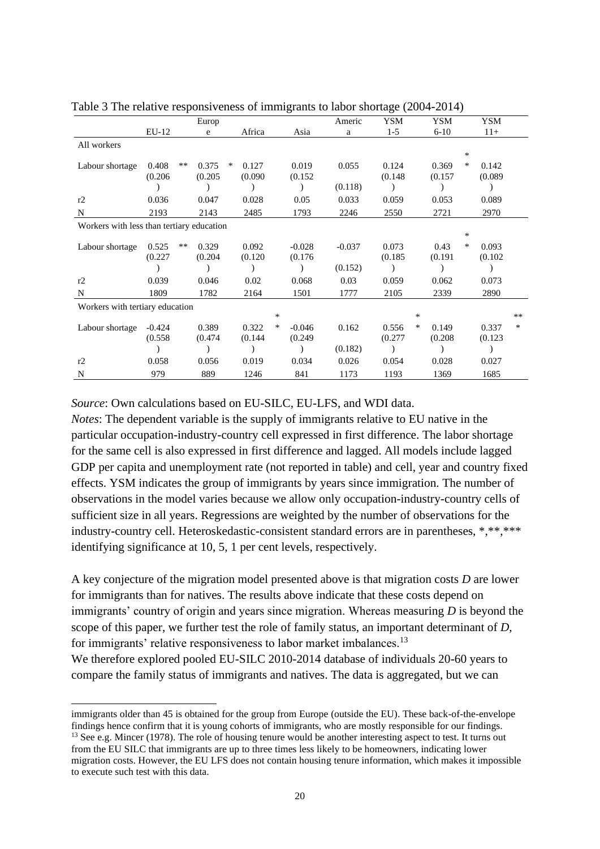|                                           |          |       | Europ   |   |         |        |          | Americ   | <b>YSM</b> |        | YSM      |        | YSM     |       |
|-------------------------------------------|----------|-------|---------|---|---------|--------|----------|----------|------------|--------|----------|--------|---------|-------|
|                                           | $EU-12$  |       | e       |   | Africa  |        | Asia     | a        | $1-5$      |        | $6 - 10$ |        | $11+$   |       |
| All workers                               |          |       |         |   |         |        |          |          |            |        |          |        |         |       |
|                                           |          |       |         |   |         |        |          |          |            |        |          | $\ast$ |         |       |
| Labour shortage                           | 0.408    | $***$ | 0.375   | ∗ | 0.127   |        | 0.019    | 0.055    | 0.124      |        | 0.369    | $\ast$ | 0.142   |       |
|                                           | (0.206)  |       | (0.205) |   | (0.090) |        | (0.152)  |          | (0.148)    |        | (0.157)  |        | (0.089) |       |
|                                           |          |       |         |   |         |        |          | (0.118)  |            |        |          |        |         |       |
| r2                                        | 0.036    |       | 0.047   |   | 0.028   |        | 0.05     | 0.033    | 0.059      |        | 0.053    |        | 0.089   |       |
| N                                         | 2193     |       | 2143    |   | 2485    |        | 1793     | 2246     | 2550       |        | 2721     |        | 2970    |       |
| Workers with less than tertiary education |          |       |         |   |         |        |          |          |            |        |          |        |         |       |
|                                           |          |       |         |   |         |        |          |          |            |        |          | *      |         |       |
| Labour shortage                           | 0.525    | $***$ | 0.329   |   | 0.092   |        | $-0.028$ | $-0.037$ | 0.073      |        | 0.43     | *      | 0.093   |       |
|                                           | (0.227)  |       | (0.204) |   | (0.120) |        | (0.176)  |          | (0.185)    |        | (0.191)  |        | (0.102) |       |
|                                           |          |       |         |   |         |        |          | (0.152)  |            |        |          |        |         |       |
| r2                                        | 0.039    |       | 0.046   |   | 0.02    |        | 0.068    | 0.03     | 0.059      |        | 0.062    |        | 0.073   |       |
| N                                         | 1809     |       | 1782    |   | 2164    |        | 1501     | 1777     | 2105       |        | 2339     |        | 2890    |       |
| Workers with tertiary education           |          |       |         |   |         |        |          |          |            |        |          |        |         |       |
|                                           |          |       |         |   |         | $\ast$ |          |          |            | $\ast$ |          |        |         | $***$ |
| Labour shortage                           | $-0.424$ |       | 0.389   |   | 0.322   | ∗      | $-0.046$ | 0.162    | 0.556      | ∗      | 0.149    |        | 0.337   | *     |
|                                           | (0.558)  |       | (0.474) |   | (0.144) |        | (0.249)  |          | (0.277)    |        | (0.208)  |        | (0.123) |       |
|                                           |          |       |         |   |         |        |          | (0.182)  |            |        |          |        |         |       |
| r2                                        | 0.058    |       | 0.056   |   | 0.019   |        | 0.034    | 0.026    | 0.054      |        | 0.028    |        | 0.027   |       |
| N                                         | 979      |       | 889     |   | 1246    |        | 841      | 1173     | 1193       |        | 1369     |        | 1685    |       |

Table 3 The relative responsiveness of immigrants to labor shortage (2004-2014)

*Source*: Own calculations based on EU-SILC, EU-LFS, and WDI data.

*Notes*: The dependent variable is the supply of immigrants relative to EU native in the particular occupation-industry-country cell expressed in first difference. The labor shortage for the same cell is also expressed in first difference and lagged. All models include lagged GDP per capita and unemployment rate (not reported in table) and cell, year and country fixed effects. YSM indicates the group of immigrants by years since immigration. The number of observations in the model varies because we allow only occupation-industry-country cells of sufficient size in all years. Regressions are weighted by the number of observations for the industry-country cell. Heteroskedastic-consistent standard errors are in parentheses, \*,\*\*,\*\*\* identifying significance at 10, 5, 1 per cent levels, respectively.

A key conjecture of the migration model presented above is that migration costs *D* are lower for immigrants than for natives. The results above indicate that these costs depend on immigrants' country of origin and years since migration. Whereas measuring *D* is beyond the scope of this paper, we further test the role of family status, an important determinant of *D*, for immigrants' relative responsiveness to labor market imbalances.<sup>13</sup> We therefore explored pooled EU-SILC 2010-2014 database of individuals 20-60 years to compare the family status of immigrants and natives. The data is aggregated, but we can

immigrants older than 45 is obtained for the group from Europe (outside the EU). These back-of-the-envelope findings hence confirm that it is young cohorts of immigrants, who are mostly responsible for our findings.

<sup>&</sup>lt;sup>13</sup> See e.g. Mincer (1978). The role of housing tenure would be another interesting aspect to test. It turns out from the EU SILC that immigrants are up to three times less likely to be homeowners, indicating lower migration costs. However, the EU LFS does not contain housing tenure information, which makes it impossible to execute such test with this data.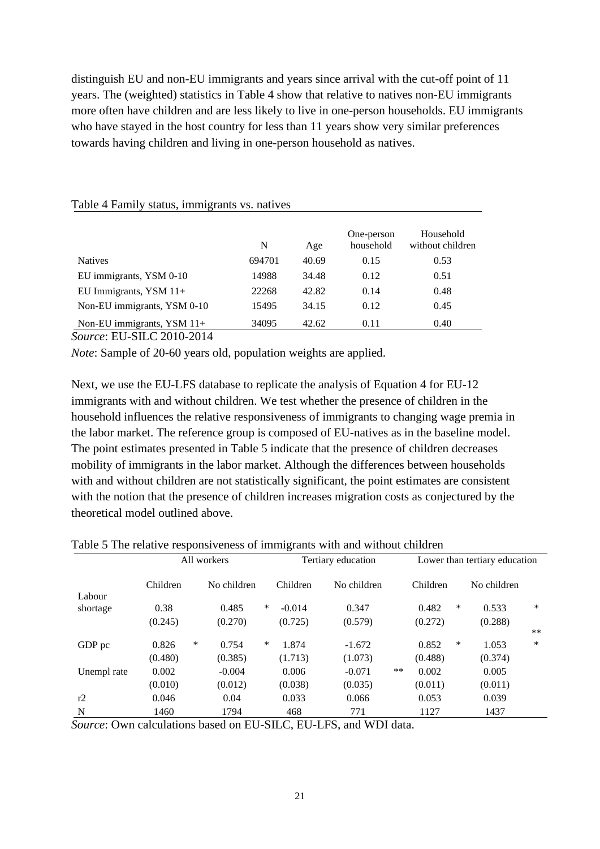distinguish EU and non-EU immigrants and years since arrival with the cut-off point of 11 years. The (weighted) statistics in Table 4 show that relative to natives non-EU immigrants more often have children and are less likely to live in one-person households. EU immigrants who have stayed in the host country for less than 11 years show very similar preferences towards having children and living in one-person household as natives.

|                             | N      | Age   | One-person<br>household | Household<br>without children |
|-----------------------------|--------|-------|-------------------------|-------------------------------|
| <b>Natives</b>              | 694701 | 40.69 | 0.15                    | 0.53                          |
| EU immigrants, YSM 0-10     | 14988  | 34.48 | 0.12                    | 0.51                          |
| EU Immigrants, YSM 11+      | 22268  | 42.82 | 0.14                    | 0.48                          |
| Non-EU immigrants, YSM 0-10 | 15495  | 34.15 | 0.12                    | 0.45                          |
| Non-EU immigrants, YSM 11+  | 34095  | 42.62 | 0.11                    | 0.40                          |

Table 4 Family status, immigrants vs. natives

*Source*: EU-SILC 2010-2014

*Note*: Sample of 20-60 years old, population weights are applied.

Next, we use the EU-LFS database to replicate the analysis of Equation 4 for EU-12 immigrants with and without children. We test whether the presence of children in the household influences the relative responsiveness of immigrants to changing wage premia in the labor market. The reference group is composed of EU-natives as in the baseline model. The point estimates presented in Table 5 indicate that the presence of children decreases mobility of immigrants in the labor market. Although the differences between households with and without children are not statistically significant, the point estimates are consistent with the notion that the presence of children increases migration costs as conjectured by the theoretical model outlined above.

|             |                         | All workers |                 | Tertiary education |               | Lower than tertiary education |        |  |  |  |
|-------------|-------------------------|-------------|-----------------|--------------------|---------------|-------------------------------|--------|--|--|--|
| Labour      | Children<br>No children |             | Children        | No children        | Children      | No children                   |        |  |  |  |
| shortage    | 0.38                    | ∗<br>0.485  | $-0.014$        | 0.347              | 0.482         | ∗<br>0.533                    | $\ast$ |  |  |  |
|             | (0.245)                 | (0.270)     | (0.725)         | (0.579)            | (0.272)       | (0.288)                       |        |  |  |  |
|             |                         |             |                 |                    |               |                               | $***$  |  |  |  |
| GDP pc      | 0.826                   | *<br>0.754  | $\ast$<br>1.874 | $-1.672$           | 0.852         | *<br>1.053                    | *      |  |  |  |
|             | (0.480)                 | (0.385)     | (1.713)         | (1.073)            | (0.488)       | (0.374)                       |        |  |  |  |
| Unempl rate | 0.002                   | $-0.004$    | 0.006           | $-0.071$           | $**$<br>0.002 | 0.005                         |        |  |  |  |
|             | (0.010)                 | (0.012)     | (0.038)         | (0.035)            | (0.011)       | (0.011)                       |        |  |  |  |
| r2          | 0.046                   | 0.04        | 0.033           | 0.066              | 0.053         | 0.039                         |        |  |  |  |
| N           | 1460                    | 1794        | 468             | 771                | 1127          | 1437                          |        |  |  |  |

Table 5 The relative responsiveness of immigrants with and without children

*Source*: Own calculations based on EU-SILC, EU-LFS, and WDI data.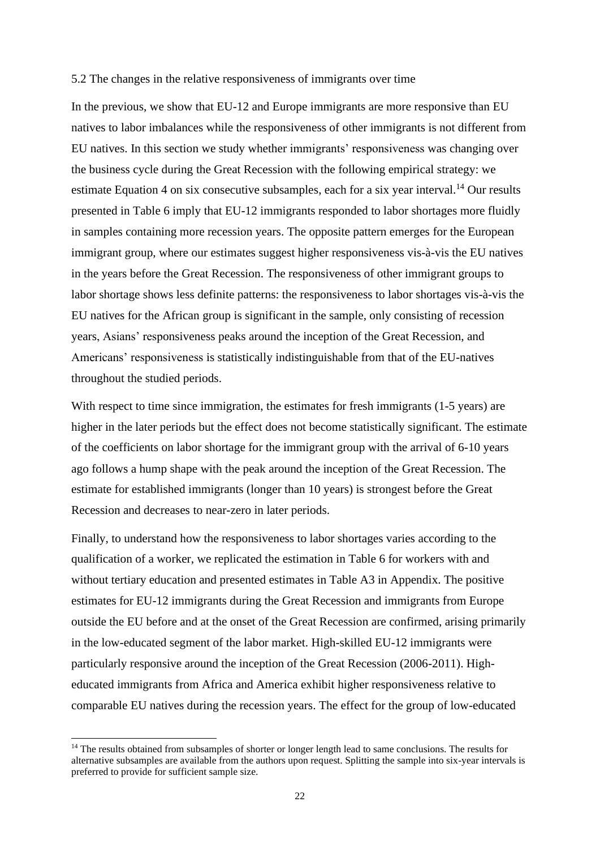#### 5.2 The changes in the relative responsiveness of immigrants over time

In the previous, we show that EU-12 and Europe immigrants are more responsive than EU natives to labor imbalances while the responsiveness of other immigrants is not different from EU natives. In this section we study whether immigrants' responsiveness was changing over the business cycle during the Great Recession with the following empirical strategy: we estimate Equation 4 on six consecutive subsamples, each for a six year interval.<sup>14</sup> Our results presented in Table 6 imply that EU-12 immigrants responded to labor shortages more fluidly in samples containing more recession years. The opposite pattern emerges for the European immigrant group, where our estimates suggest higher responsiveness vis-à-vis the EU natives in the years before the Great Recession. The responsiveness of other immigrant groups to labor shortage shows less definite patterns: the responsiveness to labor shortages vis-à-vis the EU natives for the African group is significant in the sample, only consisting of recession years, Asians' responsiveness peaks around the inception of the Great Recession, and Americans' responsiveness is statistically indistinguishable from that of the EU-natives throughout the studied periods.

With respect to time since immigration, the estimates for fresh immigrants (1-5 years) are higher in the later periods but the effect does not become statistically significant. The estimate of the coefficients on labor shortage for the immigrant group with the arrival of 6-10 years ago follows a hump shape with the peak around the inception of the Great Recession. The estimate for established immigrants (longer than 10 years) is strongest before the Great Recession and decreases to near-zero in later periods.

Finally, to understand how the responsiveness to labor shortages varies according to the qualification of a worker, we replicated the estimation in Table 6 for workers with and without tertiary education and presented estimates in Table A3 in Appendix. The positive estimates for EU-12 immigrants during the Great Recession and immigrants from Europe outside the EU before and at the onset of the Great Recession are confirmed, arising primarily in the low-educated segment of the labor market. High-skilled EU-12 immigrants were particularly responsive around the inception of the Great Recession (2006-2011). Higheducated immigrants from Africa and America exhibit higher responsiveness relative to comparable EU natives during the recession years. The effect for the group of low-educated

<sup>&</sup>lt;sup>14</sup> The results obtained from subsamples of shorter or longer length lead to same conclusions. The results for alternative subsamples are available from the authors upon request. Splitting the sample into six-year intervals is preferred to provide for sufficient sample size.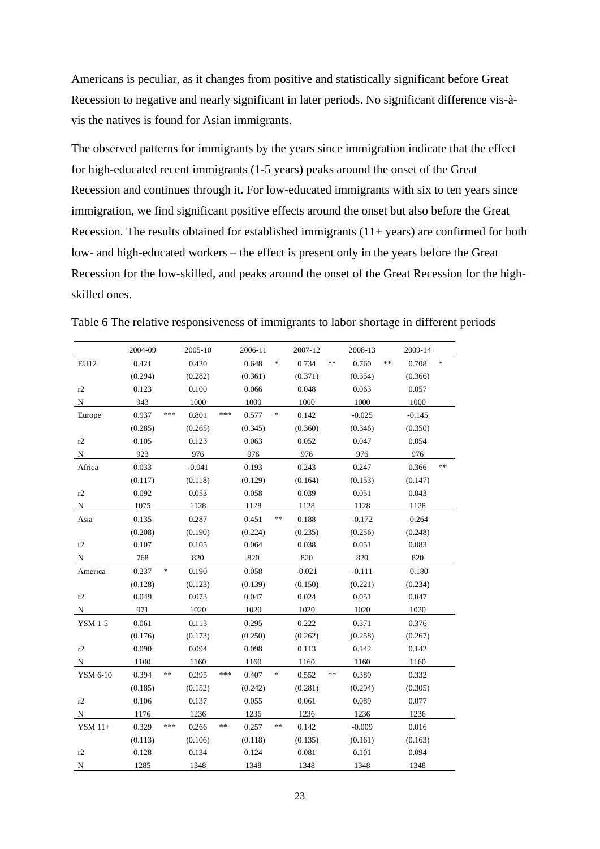Americans is peculiar, as it changes from positive and statistically significant before Great Recession to negative and nearly significant in later periods. No significant difference vis-àvis the natives is found for Asian immigrants.

The observed patterns for immigrants by the years since immigration indicate that the effect for high-educated recent immigrants (1-5 years) peaks around the onset of the Great Recession and continues through it. For low-educated immigrants with six to ten years since immigration, we find significant positive effects around the onset but also before the Great Recession. The results obtained for established immigrants (11+ years) are confirmed for both low- and high-educated workers – the effect is present only in the years before the Great Recession for the low-skilled, and peaks around the onset of the Great Recession for the highskilled ones.

|                | 2004-09 |         | 2005-10  |       | 2006-11 |        | 2007-12  |      | 2008-13  |    | 2009-14  |        |
|----------------|---------|---------|----------|-------|---------|--------|----------|------|----------|----|----------|--------|
| EU12           | 0.421   |         | 0.420    |       | 0.648   | $\ast$ | 0.734    | **   | 0.760    | ** | 0.708    | $\ast$ |
|                | (0.294) |         | (0.282)  |       | (0.361) |        | (0.371)  |      | (0.354)  |    | (0.366)  |        |
| r2             | 0.123   |         | 0.100    |       | 0.066   |        | 0.048    |      | 0.063    |    | 0.057    |        |
| $\mathbf N$    | 943     |         | 1000     |       | 1000    |        | 1000     |      | 1000     |    | 1000     |        |
| Europe         | 0.937   | ***     | 0.801    | $***$ | 0.577   | $\ast$ | 0.142    |      | $-0.025$ |    | $-0.145$ |        |
|                | (0.285) |         | (0.265)  |       | (0.345) |        | (0.360)  |      | (0.346)  |    | (0.350)  |        |
| r2             | 0.105   |         | 0.123    |       | 0.063   |        | 0.052    |      | 0.047    |    | 0.054    |        |
| N              | 923     |         | 976      |       | 976     |        | 976      |      | 976      |    | 976      |        |
| Africa         | 0.033   |         | $-0.041$ |       | 0.193   |        | 0.243    |      | 0.247    |    | 0.366    | $**$   |
|                | (0.117) |         | (0.118)  |       | (0.129) |        | (0.164)  |      | (0.153)  |    | (0.147)  |        |
| r2             | 0.092   |         | 0.053    |       | 0.058   |        | 0.039    |      | 0.051    |    | 0.043    |        |
| N              | 1075    |         | 1128     |       | 1128    |        | 1128     |      | 1128     |    | 1128     |        |
| Asia           | 0.135   |         | 0.287    |       | 0.451   | **     | 0.188    |      | $-0.172$ |    | $-0.264$ |        |
|                | (0.208) |         | (0.190)  |       | (0.224) |        | (0.235)  |      | (0.256)  |    | (0.248)  |        |
| r2             | 0.107   |         | 0.105    |       | 0.064   |        | 0.038    |      | 0.051    |    | 0.083    |        |
| ${\bf N}$      | 768     |         | 820      |       | 820     |        | 820      |      | 820      |    | 820      |        |
| America        | 0.237   | $\ast$  | 0.190    |       | 0.058   |        | $-0.021$ |      | $-0.111$ |    | $-0.180$ |        |
|                | (0.128) |         | (0.123)  |       | (0.139) |        | (0.150)  |      | (0.221)  |    | (0.234)  |        |
| r2             | 0.049   |         | 0.073    |       | 0.047   |        | 0.024    |      | 0.051    |    | 0.047    |        |
| $\mathbf N$    | 971     |         | 1020     |       | 1020    |        | 1020     |      | 1020     |    | 1020     |        |
| <b>YSM 1-5</b> | 0.061   |         | 0.113    |       | 0.295   |        | 0.222    |      | 0.371    |    | 0.376    |        |
|                | (0.176) |         | (0.173)  |       | (0.250) |        | (0.262)  |      | (0.258)  |    | (0.267)  |        |
| r2             | 0.090   |         | 0.094    |       | 0.098   |        | 0.113    |      | 0.142    |    | 0.142    |        |
| N              | 1100    |         | 1160     |       | 1160    |        | 1160     |      | 1160     |    | 1160     |        |
| YSM 6-10       | 0.394   | $*\ast$ | 0.395    | ***   | 0.407   | $\ast$ | 0.552    | $**$ | 0.389    |    | 0.332    |        |
|                | (0.185) |         | (0.152)  |       | (0.242) |        | (0.281)  |      | (0.294)  |    | (0.305)  |        |
| r2             | 0.106   |         | 0.137    |       | 0.055   |        | 0.061    |      | 0.089    |    | 0.077    |        |
| $\, {\rm N}$   | 1176    |         | 1236     |       | 1236    |        | 1236     |      | 1236     |    | 1236     |        |
| $YSM$ 11+      | 0.329   | ***     | 0.266    | $**$  | 0.257   | **     | 0.142    |      | $-0.009$ |    | 0.016    |        |
|                | (0.113) |         | (0.106)  |       | (0.118) |        | (0.135)  |      | (0.161)  |    | (0.163)  |        |
| r2             | 0.128   |         | 0.134    |       | 0.124   |        | 0.081    |      | 0.101    |    | 0.094    |        |
| N              | 1285    |         | 1348     |       | 1348    |        | 1348     |      | 1348     |    | 1348     |        |

Table 6 The relative responsiveness of immigrants to labor shortage in different periods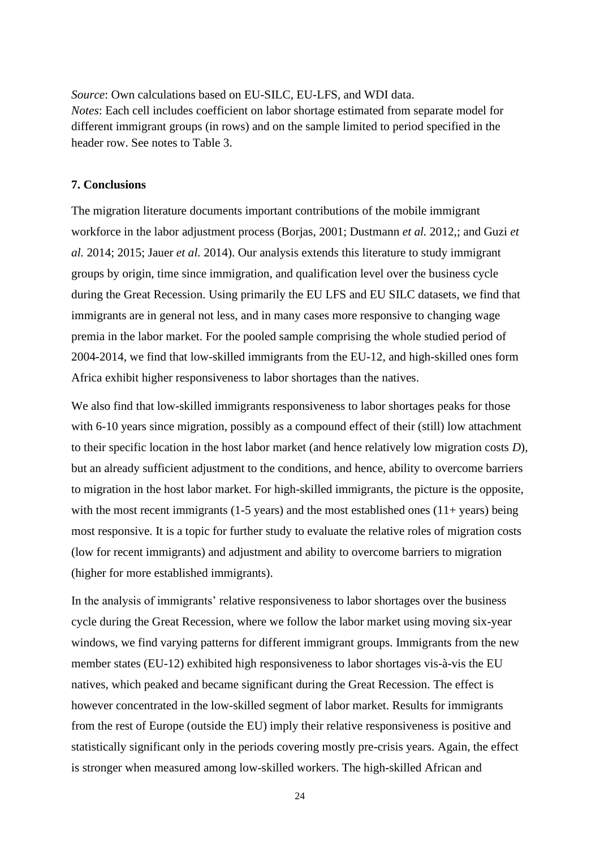*Source*: Own calculations based on EU-SILC, EU-LFS, and WDI data. *Notes*: Each cell includes coefficient on labor shortage estimated from separate model for different immigrant groups (in rows) and on the sample limited to period specified in the header row. See notes to Table 3.

#### **7. Conclusions**

The migration literature documents important contributions of the mobile immigrant workforce in the labor adjustment process (Borjas, 2001; Dustmann *et al.* 2012,; and Guzi *et al.* 2014; 2015; Jauer *et al.* 2014). Our analysis extends this literature to study immigrant groups by origin, time since immigration, and qualification level over the business cycle during the Great Recession. Using primarily the EU LFS and EU SILC datasets, we find that immigrants are in general not less, and in many cases more responsive to changing wage premia in the labor market. For the pooled sample comprising the whole studied period of 2004-2014, we find that low-skilled immigrants from the EU-12, and high-skilled ones form Africa exhibit higher responsiveness to labor shortages than the natives.

We also find that low-skilled immigrants responsiveness to labor shortages peaks for those with 6-10 years since migration, possibly as a compound effect of their (still) low attachment to their specific location in the host labor market (and hence relatively low migration costs *D*), but an already sufficient adjustment to the conditions, and hence, ability to overcome barriers to migration in the host labor market. For high-skilled immigrants, the picture is the opposite, with the most recent immigrants  $(1-5 \text{ years})$  and the most established ones  $(11+\text{years})$  being most responsive. It is a topic for further study to evaluate the relative roles of migration costs (low for recent immigrants) and adjustment and ability to overcome barriers to migration (higher for more established immigrants).

In the analysis of immigrants' relative responsiveness to labor shortages over the business cycle during the Great Recession, where we follow the labor market using moving six-year windows, we find varying patterns for different immigrant groups. Immigrants from the new member states (EU-12) exhibited high responsiveness to labor shortages vis-à-vis the EU natives, which peaked and became significant during the Great Recession. The effect is however concentrated in the low-skilled segment of labor market. Results for immigrants from the rest of Europe (outside the EU) imply their relative responsiveness is positive and statistically significant only in the periods covering mostly pre-crisis years. Again, the effect is stronger when measured among low-skilled workers. The high-skilled African and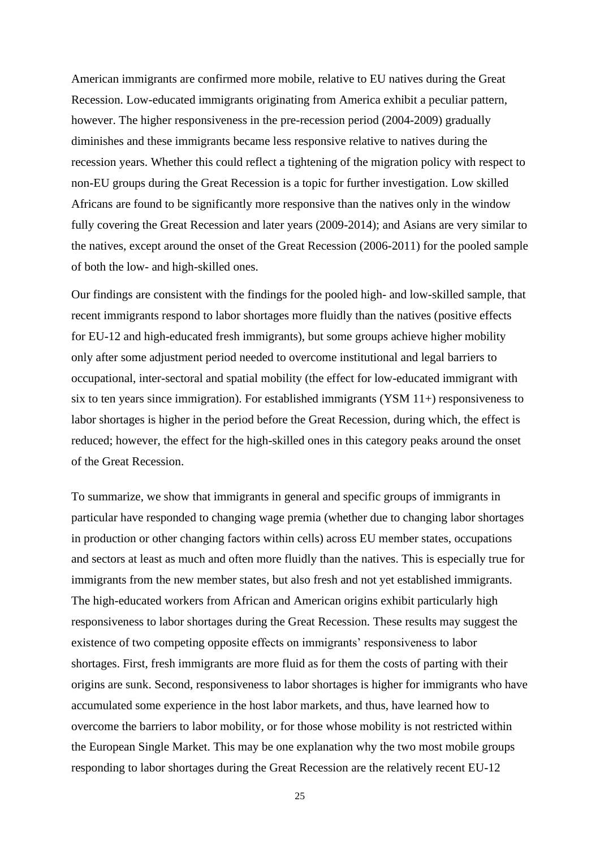American immigrants are confirmed more mobile, relative to EU natives during the Great Recession. Low-educated immigrants originating from America exhibit a peculiar pattern, however. The higher responsiveness in the pre-recession period (2004-2009) gradually diminishes and these immigrants became less responsive relative to natives during the recession years. Whether this could reflect a tightening of the migration policy with respect to non-EU groups during the Great Recession is a topic for further investigation. Low skilled Africans are found to be significantly more responsive than the natives only in the window fully covering the Great Recession and later years (2009-2014); and Asians are very similar to the natives, except around the onset of the Great Recession (2006-2011) for the pooled sample of both the low- and high-skilled ones.

Our findings are consistent with the findings for the pooled high- and low-skilled sample, that recent immigrants respond to labor shortages more fluidly than the natives (positive effects for EU-12 and high-educated fresh immigrants), but some groups achieve higher mobility only after some adjustment period needed to overcome institutional and legal barriers to occupational, inter-sectoral and spatial mobility (the effect for low-educated immigrant with six to ten years since immigration). For established immigrants (YSM 11+) responsiveness to labor shortages is higher in the period before the Great Recession, during which, the effect is reduced; however, the effect for the high-skilled ones in this category peaks around the onset of the Great Recession.

To summarize, we show that immigrants in general and specific groups of immigrants in particular have responded to changing wage premia (whether due to changing labor shortages in production or other changing factors within cells) across EU member states, occupations and sectors at least as much and often more fluidly than the natives. This is especially true for immigrants from the new member states, but also fresh and not yet established immigrants. The high-educated workers from African and American origins exhibit particularly high responsiveness to labor shortages during the Great Recession. These results may suggest the existence of two competing opposite effects on immigrants' responsiveness to labor shortages. First, fresh immigrants are more fluid as for them the costs of parting with their origins are sunk. Second, responsiveness to labor shortages is higher for immigrants who have accumulated some experience in the host labor markets, and thus, have learned how to overcome the barriers to labor mobility, or for those whose mobility is not restricted within the European Single Market. This may be one explanation why the two most mobile groups responding to labor shortages during the Great Recession are the relatively recent EU-12

25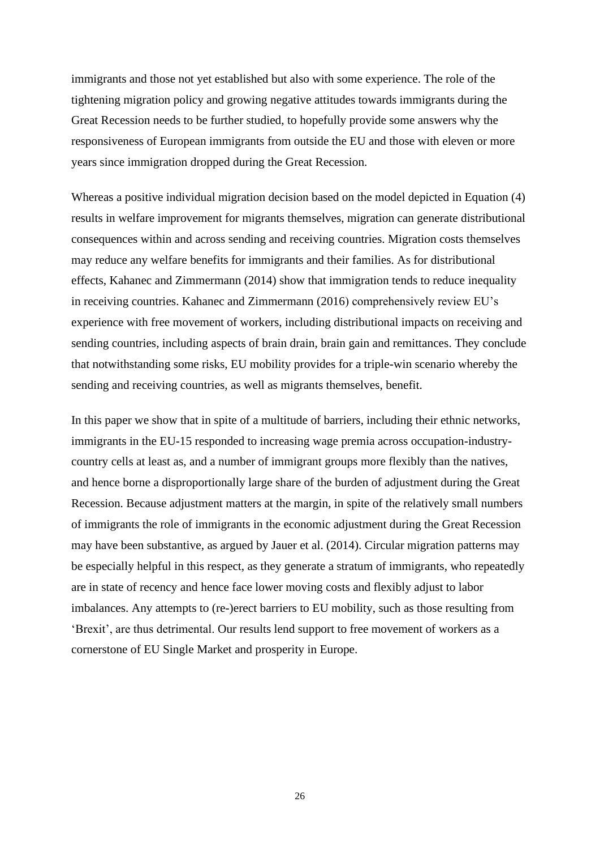immigrants and those not yet established but also with some experience. The role of the tightening migration policy and growing negative attitudes towards immigrants during the Great Recession needs to be further studied, to hopefully provide some answers why the responsiveness of European immigrants from outside the EU and those with eleven or more years since immigration dropped during the Great Recession.

Whereas a positive individual migration decision based on the model depicted in Equation (4) results in welfare improvement for migrants themselves, migration can generate distributional consequences within and across sending and receiving countries. Migration costs themselves may reduce any welfare benefits for immigrants and their families. As for distributional effects, Kahanec and Zimmermann (2014) show that immigration tends to reduce inequality in receiving countries. Kahanec and Zimmermann (2016) comprehensively review EU's experience with free movement of workers, including distributional impacts on receiving and sending countries, including aspects of brain drain, brain gain and remittances. They conclude that notwithstanding some risks, EU mobility provides for a triple-win scenario whereby the sending and receiving countries, as well as migrants themselves, benefit.

In this paper we show that in spite of a multitude of barriers, including their ethnic networks, immigrants in the EU-15 responded to increasing wage premia across occupation-industrycountry cells at least as, and a number of immigrant groups more flexibly than the natives, and hence borne a disproportionally large share of the burden of adjustment during the Great Recession. Because adjustment matters at the margin, in spite of the relatively small numbers of immigrants the role of immigrants in the economic adjustment during the Great Recession may have been substantive, as argued by Jauer et al. (2014). Circular migration patterns may be especially helpful in this respect, as they generate a stratum of immigrants, who repeatedly are in state of recency and hence face lower moving costs and flexibly adjust to labor imbalances. Any attempts to (re-)erect barriers to EU mobility, such as those resulting from 'Brexit', are thus detrimental. Our results lend support to free movement of workers as a cornerstone of EU Single Market and prosperity in Europe.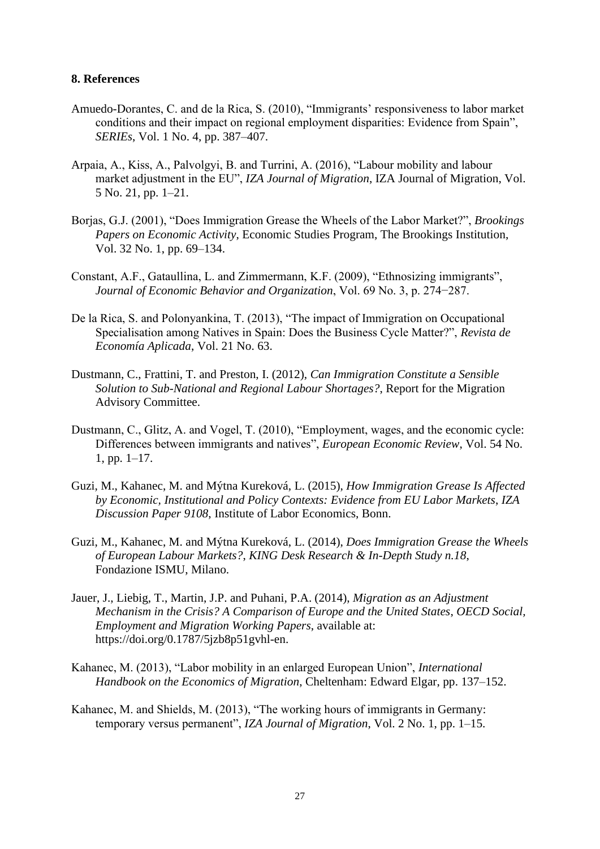#### **8. References**

- Amuedo-Dorantes, C. and de la Rica, S. (2010), "Immigrants' responsiveness to labor market conditions and their impact on regional employment disparities: Evidence from Spain", *SERIEs*, Vol. 1 No. 4, pp. 387–407.
- Arpaia, A., Kiss, A., Palvolgyi, B. and Turrini, A. (2016), "Labour mobility and labour market adjustment in the EU", *IZA Journal of Migration*, IZA Journal of Migration, Vol. 5 No. 21, pp. 1–21.
- Borjas, G.J. (2001), "Does Immigration Grease the Wheels of the Labor Market?", *Brookings Papers on Economic Activity*, Economic Studies Program, The Brookings Institution, Vol. 32 No. 1, pp. 69–134.
- Constant, A.F., Gataullina, L. and Zimmermann, K.F. (2009), "Ethnosizing immigrants", *Journal of Economic Behavior and Organization*, Vol. 69 No. 3, p. 274−287.
- De la Rica, S. and Polonyankina, T. (2013), "The impact of Immigration on Occupational Specialisation among Natives in Spain: Does the Business Cycle Matter?", *Revista de Economía Aplicada*, Vol. 21 No. 63.
- Dustmann, C., Frattini, T. and Preston, I. (2012), *Can Immigration Constitute a Sensible Solution to Sub-National and Regional Labour Shortages?*, Report for the Migration Advisory Committee.
- Dustmann, C., Glitz, A. and Vogel, T. (2010), "Employment, wages, and the economic cycle: Differences between immigrants and natives", *European Economic Review*, Vol. 54 No. 1, pp. 1–17.
- Guzi, M., Kahanec, M. and Mýtna Kureková, L. (2015), *How Immigration Grease Is Affected by Economic, Institutional and Policy Contexts: Evidence from EU Labor Markets*, *IZA Discussion Paper 9108*, Institute of Labor Economics, Bonn.
- Guzi, M., Kahanec, M. and Mýtna Kureková, L. (2014), *Does Immigration Grease the Wheels of European Labour Markets?*, *KING Desk Research & In-Depth Study n.18*, Fondazione ISMU, Milano.
- Jauer, J., Liebig, T., Martin, J.P. and Puhani, P.A. (2014), *Migration as an Adjustment Mechanism in the Crisis? A Comparison of Europe and the United States*, *OECD Social, Employment and Migration Working Papers*, available at: https://doi.org/0.1787/5jzb8p51gvhl-en.
- Kahanec, M. (2013), "Labor mobility in an enlarged European Union", *International Handbook on the Economics of Migration*, Cheltenham: Edward Elgar, pp. 137–152.
- Kahanec, M. and Shields, M. (2013), "The working hours of immigrants in Germany: temporary versus permanent", *IZA Journal of Migration*, Vol. 2 No. 1, pp. 1–15.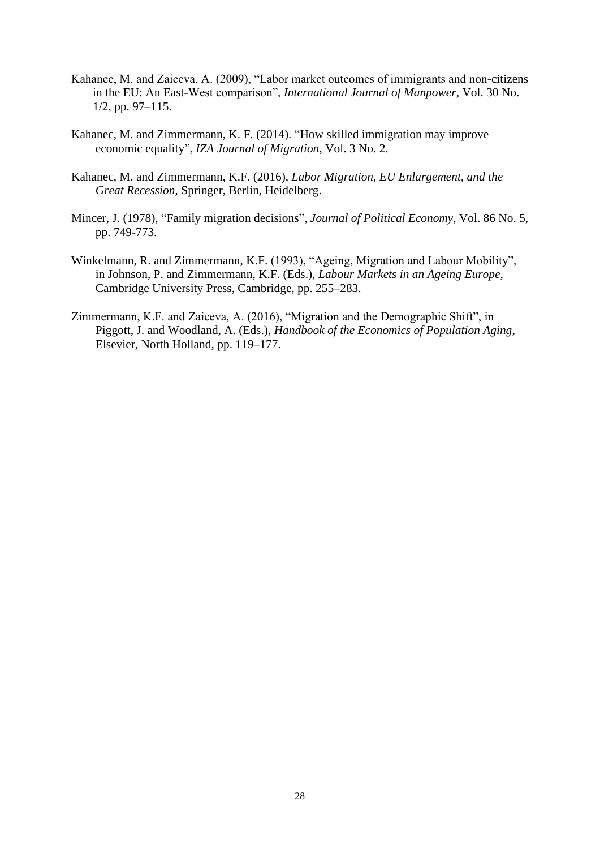- Kahanec, M. and Zaiceva, A. (2009), "Labor market outcomes of immigrants and non-citizens in the EU: An East-West comparison", *International Journal of Manpower*, Vol. 30 No. 1/2, pp. 97–115.
- Kahanec, M. and Zimmermann, K. F. (2014). "How skilled immigration may improve economic equality", *IZA Journal of Migration*, Vol. 3 No. 2.
- Kahanec, M. and Zimmermann, K.F. (2016), *Labor Migration, EU Enlargement, and the Great Recession*, Springer, Berlin, Heidelberg.
- Mincer, J. (1978), "Family migration decisions", *Journal of Political Economy*, Vol. 86 No. 5, pp. 749-773.
- Winkelmann, R. and Zimmermann, K.F. (1993), "Ageing, Migration and Labour Mobility", in Johnson, P. and Zimmermann, K.F. (Eds.), *Labour Markets in an Ageing Europe*, Cambridge University Press, Cambridge, pp. 255–283.
- Zimmermann, K.F. and Zaiceva, A. (2016), "Migration and the Demographic Shift", in Piggott, J. and Woodland, A. (Eds.), *Handbook of the Economics of Population Aging*, Elsevier, North Holland, pp. 119–177.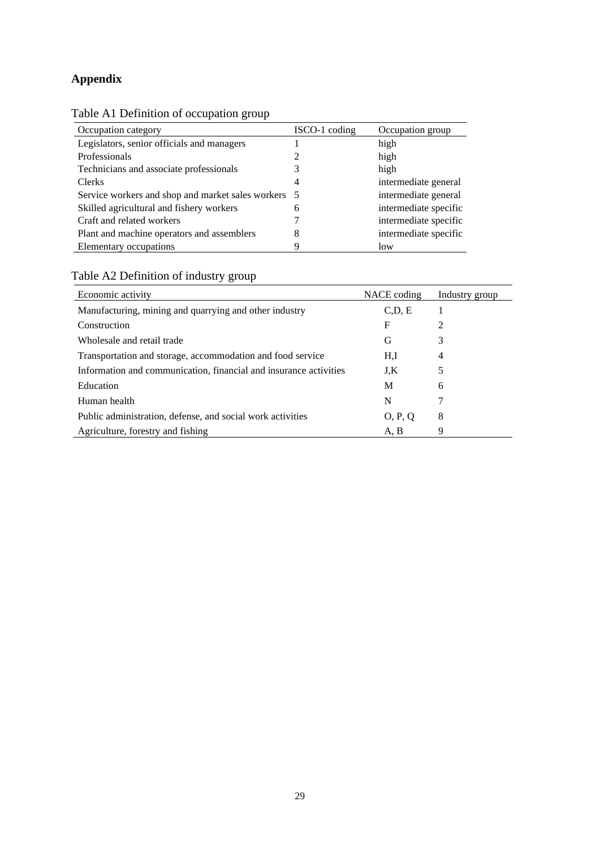# **Appendix**

|--|

| Occupation category                                 | ISCO-1 coding | Occupation group      |
|-----------------------------------------------------|---------------|-----------------------|
| Legislators, senior officials and managers          |               | high                  |
| Professionals                                       |               | high                  |
| Technicians and associate professionals             |               | high                  |
| Clerks                                              | 4             | intermediate general  |
| Service workers and shop and market sales workers 5 |               | intermediate general  |
| Skilled agricultural and fishery workers            | 6             | intermediate specific |
| Craft and related workers                           |               | intermediate specific |
| Plant and machine operators and assemblers          | 8             | intermediate specific |
| Elementary occupations                              | Q             | low                   |

# Table A2 Definition of industry group

| Economic activity                                                 | NACE coding | Industry group |
|-------------------------------------------------------------------|-------------|----------------|
| Manufacturing, mining and quarrying and other industry            | C.D. E      |                |
| Construction                                                      | F           | $\mathfrak{D}$ |
| Wholesale and retail trade                                        | G           | 3              |
| Transportation and storage, accommodation and food service        | H.I         | 4              |
| Information and communication, financial and insurance activities | J.K         | 5              |
| Education                                                         | M           | 6              |
| Human health                                                      | N           |                |
| Public administration, defense, and social work activities        | O, P, Q     | 8              |
| Agriculture, forestry and fishing                                 | A, B        | 9              |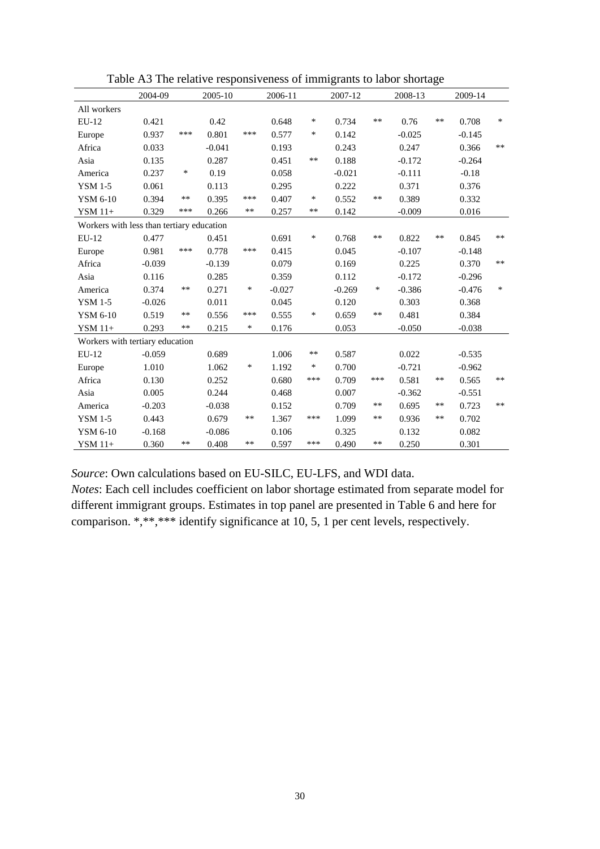|                                           | 2004-09  |        | 2005-10  |        | 2006-11  |        | 2007-12  |        | 2008-13  |       | 2009-14  |        |
|-------------------------------------------|----------|--------|----------|--------|----------|--------|----------|--------|----------|-------|----------|--------|
| All workers                               |          |        |          |        |          |        |          |        |          |       |          |        |
| $EU-12$                                   | 0.421    |        | 0.42     |        | 0.648    | $\ast$ | 0.734    | **     | 0.76     | $***$ | 0.708    | $\ast$ |
| Europe                                    | 0.937    | ***    | 0.801    | ***    | 0.577    | $\ast$ | 0.142    |        | $-0.025$ |       | $-0.145$ |        |
| Africa                                    | 0.033    |        | $-0.041$ |        | 0.193    |        | 0.243    |        | 0.247    |       | 0.366    | $***$  |
| Asia                                      | 0.135    |        | 0.287    |        | 0.451    | **     | 0.188    |        | $-0.172$ |       | $-0.264$ |        |
| America                                   | 0.237    | $\ast$ | 0.19     |        | 0.058    |        | $-0.021$ |        | $-0.111$ |       | $-0.18$  |        |
| <b>YSM 1-5</b>                            | 0.061    |        | 0.113    |        | 0.295    |        | 0.222    |        | 0.371    |       | 0.376    |        |
| YSM 6-10                                  | 0.394    | **     | 0.395    | ***    | 0.407    | $\ast$ | 0.552    | **     | 0.389    |       | 0.332    |        |
| YSM 11+                                   | 0.329    | ***    | 0.266    | **     | 0.257    | **     | 0.142    |        | $-0.009$ |       | 0.016    |        |
| Workers with less than tertiary education |          |        |          |        |          |        |          |        |          |       |          |        |
| EU-12                                     | 0.477    |        | 0.451    |        | 0.691    | $\ast$ | 0.768    | **     | 0.822    | **    | 0.845    | $***$  |
| Europe                                    | 0.981    | ***    | 0.778    | ***    | 0.415    |        | 0.045    |        | $-0.107$ |       | $-0.148$ |        |
| Africa                                    | $-0.039$ |        | $-0.139$ |        | 0.079    |        | 0.169    |        | 0.225    |       | 0.370    | $***$  |
| Asia                                      | 0.116    |        | 0.285    |        | 0.359    |        | 0.112    |        | $-0.172$ |       | $-0.296$ |        |
| America                                   | 0.374    | $***$  | 0.271    | $\ast$ | $-0.027$ |        | $-0.269$ | $\ast$ | $-0.386$ |       | $-0.476$ | $\ast$ |
| <b>YSM 1-5</b>                            | $-0.026$ |        | 0.011    |        | 0.045    |        | 0.120    |        | 0.303    |       | 0.368    |        |
| YSM 6-10                                  | 0.519    | **     | 0.556    | ***    | 0.555    | $\ast$ | 0.659    | $***$  | 0.481    |       | 0.384    |        |
| YSM 11+                                   | 0.293    | **     | 0.215    | $\ast$ | 0.176    |        | 0.053    |        | $-0.050$ |       | $-0.038$ |        |
| Workers with tertiary education           |          |        |          |        |          |        |          |        |          |       |          |        |
| EU-12                                     | $-0.059$ |        | 0.689    |        | 1.006    | **     | 0.587    |        | 0.022    |       | $-0.535$ |        |
| Europe                                    | 1.010    |        | 1.062    | $\ast$ | 1.192    | $\ast$ | 0.700    |        | $-0.721$ |       | $-0.962$ |        |
| Africa                                    | 0.130    |        | 0.252    |        | 0.680    | ***    | 0.709    | ***    | 0.581    | **    | 0.565    | **     |
| Asia                                      | 0.005    |        | 0.244    |        | 0.468    |        | 0.007    |        | $-0.362$ |       | $-0.551$ |        |
| America                                   | $-0.203$ |        | $-0.038$ |        | 0.152    |        | 0.709    | **     | 0.695    | **    | 0.723    | $***$  |
| <b>YSM 1-5</b>                            | 0.443    |        | 0.679    | $***$  | 1.367    | ***    | 1.099    | **     | 0.936    | **    | 0.702    |        |
| YSM 6-10                                  | $-0.168$ |        | $-0.086$ |        | 0.106    |        | 0.325    |        | 0.132    |       | 0.082    |        |
| $YSM$ 11+                                 | 0.360    | **     | 0.408    | **     | 0.597    | ***    | 0.490    | **     | 0.250    |       | 0.301    |        |

Table A3 The relative responsiveness of immigrants to labor shortage

*Source*: Own calculations based on EU-SILC, EU-LFS, and WDI data.

*Notes*: Each cell includes coefficient on labor shortage estimated from separate model for different immigrant groups. Estimates in top panel are presented in Table 6 and here for comparison. \*,\*\*,\*\*\* identify significance at 10, 5, 1 per cent levels, respectively.